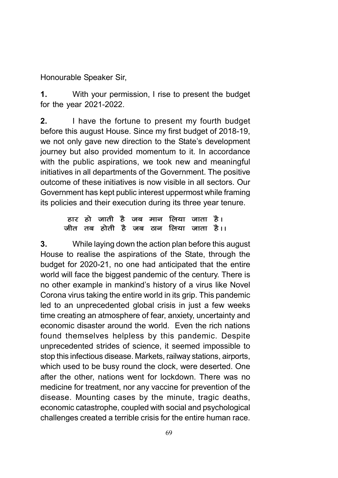Honourable Speaker Sir,

1. With your permission, I rise to present the budget for the year 2021-2022.

2. I have the fortune to present my fourth budget before this august House. Since my first budget of 2018-19, we not only gave new direction to the State's development journey but also provided momentum to it. In accordance with the public aspirations, we took new and meaningful initiatives in all departments of the Government. The positive outcome of these initiatives is now visible in all sectors. Our Government has kept public interest uppermost while framing its policies and their execution during its three year tenure.

#### हार हो जाती है जब मान लिया जाता है। जीत तब होती है जब ठान लिया जाता है।।

3. While laying down the action plan before this august House to realise the aspirations of the State, through the budget for 2020-21, no one had anticipated that the entire world will face the biggest pandemic of the century. There is no other example in mankind's history of a virus like Novel Corona virus taking the entire world in its grip. This pandemic led to an unprecedented global crisis in just a few weeks time creating an atmosphere of fear, anxiety, uncertainty and economic disaster around the world. Even the rich nations found themselves helpless by this pandemic. Despite unprecedented strides of science, it seemed impossible to stop this infectious disease. Markets, railway stations, airports, which used to be busy round the clock, were deserted. One after the other, nations went for lockdown. There was no medicine for treatment, nor any vaccine for prevention of the disease. Mounting cases by the minute, tragic deaths, economic catastrophe, coupled with social and psychological challenges created a terrible crisis for the entire human race.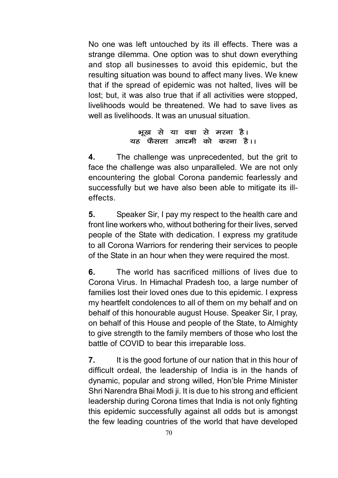No one was left untouched by its ill effects. There was a strange dilemma. One option was to shut down everything and stop all businesses to avoid this epidemic, but the resulting situation was bound to affect many lives. We knew that if the spread of epidemic was not halted, lives will be lost; but, it was also true that if all activities were stopped, livelihoods would be threatened. We had to save lives as well as livelihoods. It was an unusual situation

#### भूख से या वबा से मरना है। यह फैसला आदमी को करना है।।

4. The challenge was unprecedented, but the grit to face the challenge was also unparalleled. We are not only encountering the global Corona pandemic fearlessly and successfully but we have also been able to mitigate its illeffects.

5. Speaker Sir, I pay my respect to the health care and front line workers who, without bothering for their lives, served people of the State with dedication. I express my gratitude to all Corona Warriors for rendering their services to people of the State in an hour when they were required the most.

6. The world has sacrificed millions of lives due to Corona Virus. In Himachal Pradesh too, a large number of families lost their loved ones due to this epidemic. I express my heartfelt condolences to all of them on my behalf and on behalf of this honourable august House. Speaker Sir, I pray, on behalf of this House and people of the State, to Almighty to give strength to the family members of those who lost the battle of COVID to bear this irreparable loss.

**7.** It is the good fortune of our nation that in this hour of difficult ordeal, the leadership of India is in the hands of dynamic, popular and strong willed, Hon'ble Prime Minister Shri Narendra Bhai Modi ji. It is due to his strong and efficient leadership during Corona times that India is not only fighting this epidemic successfully against all odds but is amongst the few leading countries of the world that have developed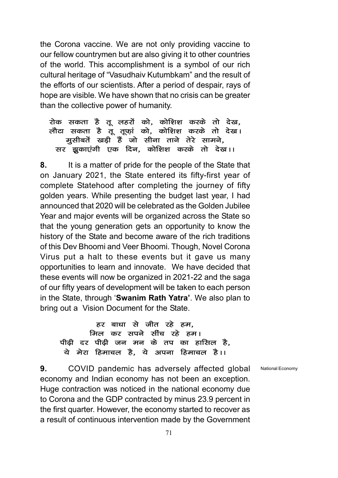the Corona vaccine. We are not only providing vaccine to our fellow countrymen but are also giving it to other countries of the world. This accomplishment is a symbol of our rich cultural heritage of "Vasudhaiv Kutumbkam" and the result of the efforts of our scientists. After a period of despair, rays of hope are visible. We have shown that no crisis can be greater than the collective power of humanity.

#### रोक सकता है तू लहरों को, कोशिश करके तो देख, लौटा सकता है वूँ तूफ़ां को, कोशिश करके तो देख। मूसीबतें खड़ी हैं जो सीना ताने तेरे सामने, सर झुकाएंगी एक दिन, कोशिश करके तो देख।।

8. It is a matter of pride for the people of the State that on January 2021, the State entered its fifty-first year of complete Statehood after completing the journey of fifty golden years. While presenting the budget last year, I had announced that 2020 will be celebrated as the Golden Jubilee Year and major events will be organized across the State so that the young generation gets an opportunity to know the history of the State and become aware of the rich traditions of this Dev Bhoomi and Veer Bhoomi. Though, Novel Corona Virus put a halt to these events but it gave us many opportunities to learn and innovate. We have decided that these events will now be organized in 2021-22 and the saga of our fifty years of development will be taken to each person in the State, through 'Swanim Rath Yatra'. We also plan to bring out a Vision Document for the State.

 $55$  बाधा से जीत रहे हम. मिल कर सपने सींच रहे हम। पीढी दर पीढी जन मन के तप का हासिल है. ये मेरा हिमाचल है, ये अपना हिमाचल है।।

National Economy

9. COVID pandemic has adversely affected global economy and Indian economy has not been an exception. Huge contraction was noticed in the national economy due to Corona and the GDP contracted by minus 23.9 percent in the first quarter. However, the economy started to recover as a result of continuous intervention made by the Government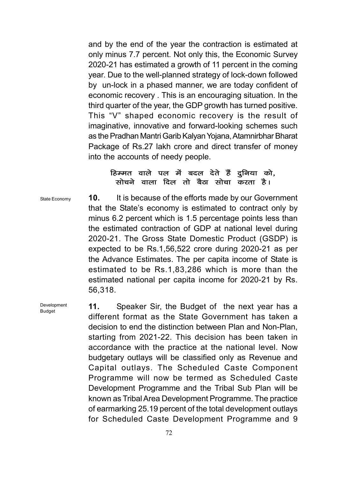and by the end of the year the contraction is estimated at only minus 7.7 percent. Not only this, the Economic Survey 2020-21 has estimated a growth of 11 percent in the coming year. Due to the well-planned strategy of lock-down followed by un-lock in a phased manner, we are today confident of economic recovery . This is an encouraging situation. In the third quarter of the year, the GDP growth has turned positive. This "V" shaped economic recovery is the result of imaginative, innovative and forward-looking schemes such as the Pradhan Mantri Garib Kalyan Yojana, Atamnirbhar Bharat Package of Rs.27 lakh crore and direct transfer of money into the accounts of needy people.

#### हिम्मत वाले पल में बदल देते हैं दूनिया को, सोचने वाला दिल तो बैठा सोचा करता है।

State Economy

Development Budget

10. It is because of the efforts made by our Government that the State's economy is estimated to contract only by minus 6.2 percent which is 1.5 percentage points less than the estimated contraction of GDP at national level during 2020-21. The Gross State Domestic Product (GSDP) is expected to be Rs.1,56,522 crore during 2020-21 as per the Advance Estimates. The per capita income of State is estimated to be Rs.1,83,286 which is more than the estimated national per capita income for 2020-21 by Rs. 56,318.

11. Speaker Sir, the Budget of the next year has a different format as the State Government has taken a decision to end the distinction between Plan and Non-Plan, starting from 2021-22. This decision has been taken in accordance with the practice at the national level. Now budgetary outlays will be classified only as Revenue and Capital outlays. The Scheduled Caste Component Programme will now be termed as Scheduled Caste Development Programme and the Tribal Sub Plan will be known as Tribal Area Development Programme. The practice of earmarking 25.19 percent of the total development outlays for Scheduled Caste Development Programme and 9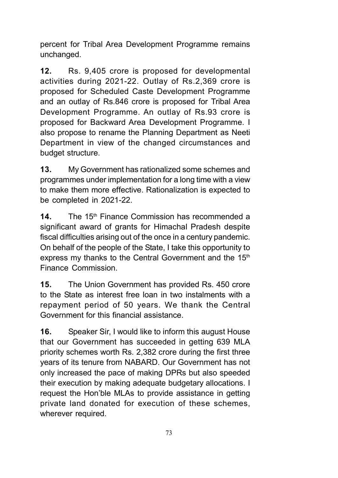percent for Tribal Area Development Programme remains unchanged.

12. Rs. 9,405 crore is proposed for developmental activities during 2021-22. Outlay of Rs.2,369 crore is proposed for Scheduled Caste Development Programme and an outlay of Rs.846 crore is proposed for Tribal Area Development Programme. An outlay of Rs.93 crore is proposed for Backward Area Development Programme. I also propose to rename the Planning Department as Neeti Department in view of the changed circumstances and budget structure.

13. My Government has rationalized some schemes and programmes under implementation for a long time with a view to make them more effective. Rationalization is expected to be completed in 2021-22.

**14.** The 15<sup>th</sup> Finance Commission has recommended a significant award of grants for Himachal Pradesh despite fiscal difficulties arising out of the once in a century pandemic. On behalf of the people of the State, I take this opportunity to express my thanks to the Central Government and the 15<sup>th</sup> Finance Commission.

15. The Union Government has provided Rs. 450 crore to the State as interest free loan in two instalments with a repayment period of 50 years. We thank the Central Government for this financial assistance.

16. Speaker Sir, I would like to inform this august House that our Government has succeeded in getting 639 MLA priority schemes worth Rs. 2,382 crore during the first three years of its tenure from NABARD. Our Government has not only increased the pace of making DPRs but also speeded their execution by making adequate budgetary allocations. I request the Hon'ble MLAs to provide assistance in getting private land donated for execution of these schemes, wherever required.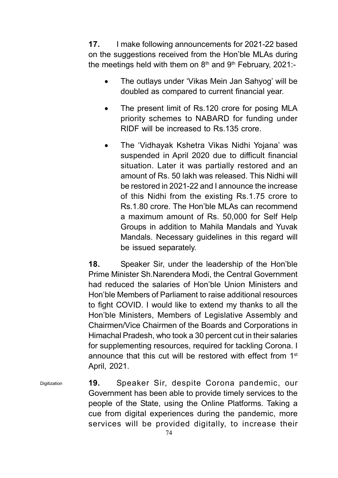17. I make following announcements for 2021-22 based on the suggestions received from the Hon'ble MLAs during the meetings held with them on  $8<sup>th</sup>$  and  $9<sup>th</sup>$  February, 2021:-

- The outlays under 'Vikas Mein Jan Sahyog' will be doubled as compared to current financial year.
- The present limit of Rs.120 crore for posing MLA priority schemes to NABARD for funding under RIDF will be increased to Rs.135 crore.
- The 'Vidhayak Kshetra Vikas Nidhi Yojana' was suspended in April 2020 due to difficult financial situation. Later it was partially restored and an amount of Rs. 50 lakh was released. This Nidhi will be restored in 2021-22 and I announce the increase of this Nidhi from the existing Rs.1.75 crore to Rs.1.80 crore. The Hon'ble MLAs can recommend a maximum amount of Rs. 50,000 for Self Help Groups in addition to Mahila Mandals and Yuvak Mandals. Necessary guidelines in this regard will be issued separately.

18. Speaker Sir, under the leadership of the Hon'ble Prime Minister Sh.Narendera Modi, the Central Government had reduced the salaries of Hon'ble Union Ministers and Hon'ble Members of Parliament to raise additional resources to fight COVID. I would like to extend my thanks to all the Hon'ble Ministers, Members of Legislative Assembly and Chairmen/Vice Chairmen of the Boards and Corporations in Himachal Pradesh, who took a 30 percent cut in their salaries for supplementing resources, required for tackling Corona. I announce that this cut will be restored with effect from 1<sup>st</sup> April, 2021.

19. Speaker Sir, despite Corona pandemic, our Government has been able to provide timely services to the people of the State, using the Online Platforms. Taking a cue from digital experiences during the pandemic, more services will be provided digitally, to increase their Digitization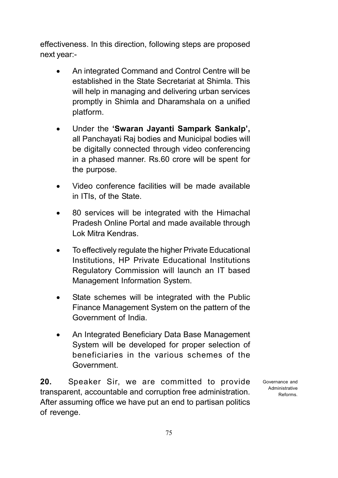effectiveness. In this direction, following steps are proposed next year:-

- An integrated Command and Control Centre will be established in the State Secretariat at Shimla. This will help in managing and delivering urban services promptly in Shimla and Dharamshala on a unified platform.
- Under the 'Swaran Jayanti Sampark Sankalp', all Panchayati Raj bodies and Municipal bodies will be digitally connected through video conferencing in a phased manner. Rs.60 crore will be spent for the purpose.
- Video conference facilities will be made available in ITIs, of the State.
- 80 services will be integrated with the Himachal Pradesh Online Portal and made available through Lok Mitra Kendras.
- To effectively regulate the higher Private Educational Institutions, HP Private Educational Institutions Regulatory Commission will launch an IT based Management Information System.
- State schemes will be integrated with the Public Finance Management System on the pattern of the Government of India.
- An Integrated Beneficiary Data Base Management System will be developed for proper selection of beneficiaries in the various schemes of the Government.

20. Speaker Sir, we are committed to provide transparent, accountable and corruption free administration. After assuming office we have put an end to partisan politics of revenge.

Governance and Administrative Reforms.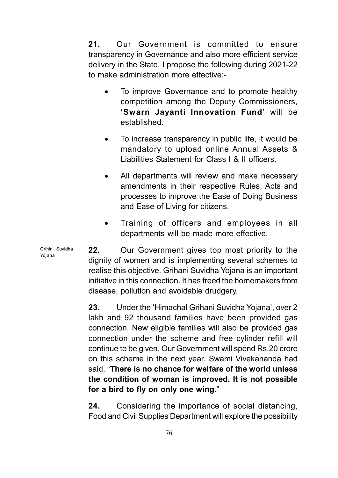21. Our Government is committed to ensure transparency in Governance and also more efficient service delivery in the State. I propose the following during 2021-22 to make administration more effective:-

- To improve Governance and to promote healthy competition among the Deputy Commissioners, 'Swarn Jayanti Innovation Fund' will be established.
- To increase transparency in public life, it would be mandatory to upload online Annual Assets & Liabilities Statement for Class I & II officers.
- All departments will review and make necessary amendments in their respective Rules, Acts and processes to improve the Ease of Doing Business and Ease of Living for citizens.
- Training of officers and employees in all departments will be made more effective.

22. Our Government gives top most priority to the dignity of women and is implementing several schemes to realise this objective. Grihani Suvidha Yojana is an important initiative in this connection. It has freed the homemakers from disease, pollution and avoidable drudgery.

23. Under the 'Himachal Grihani Suvidha Yojana', over 2 lakh and 92 thousand families have been provided gas connection. New eligible families will also be provided gas connection under the scheme and free cylinder refill will continue to be given. Our Government will spend Rs.20 crore on this scheme in the next year. Swami Vivekananda had said, "There is no chance for welfare of the world unless the condition of woman is improved. It is not possible for a bird to fly on only one wing."

24. Considering the importance of social distancing, Food and Civil Supplies Department will explore the possibility

Grihini Suvidha Yojana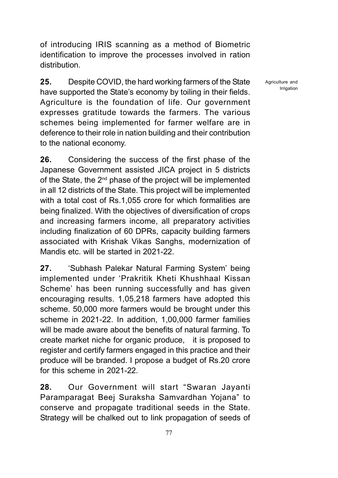of introducing IRIS scanning as a method of Biometric identification to improve the processes involved in ration distribution.

25. Despite COVID, the hard working farmers of the State have supported the State's economy by toiling in their fields. Agriculture is the foundation of life. Our government expresses gratitude towards the farmers. The various schemes being implemented for farmer welfare are in deference to their role in nation building and their contribution to the national economy.

26. Considering the success of the first phase of the Japanese Government assisted JICA project in 5 districts of the State, the  $2<sup>nd</sup>$  phase of the project will be implemented in all 12 districts of the State. This project will be implemented with a total cost of Rs.1,055 crore for which formalities are being finalized. With the objectives of diversification of crops and increasing farmers income, all preparatory activities including finalization of 60 DPRs, capacity building farmers associated with Krishak Vikas Sanghs, modernization of Mandis etc. will be started in 2021-22.

27. 'Subhash Palekar Natural Farming System' being implemented under 'Prakritik Kheti Khushhaal Kissan Scheme' has been running successfully and has given encouraging results. 1,05,218 farmers have adopted this scheme. 50,000 more farmers would be brought under this scheme in 2021-22. In addition, 1,00,000 farmer families will be made aware about the benefits of natural farming. To create market niche for organic produce, it is proposed to register and certify farmers engaged in this practice and their produce will be branded. I propose a budget of Rs.20 crore for this scheme in 2021-22.

28. Our Government will start "Swaran Jayanti Paramparagat Beej Suraksha Samvardhan Yojana" to conserve and propagate traditional seeds in the State. Strategy will be chalked out to link propagation of seeds of Agriculture and Irrigation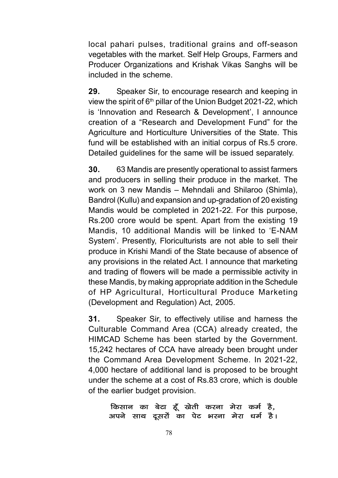local pahari pulses, traditional grains and off-season vegetables with the market. Self Help Groups, Farmers and Producer Organizations and Krishak Vikas Sanghs will be included in the scheme.

29. Speaker Sir, to encourage research and keeping in view the spirit of  $6<sup>th</sup>$  pillar of the Union Budget 2021-22, which is 'Innovation and Research & Development', I announce creation of a "Research and Development Fund" for the Agriculture and Horticulture Universities of the State. This fund will be established with an initial corpus of Rs.5 crore. Detailed guidelines for the same will be issued separately.

30. 63 Mandis are presently operational to assist farmers and producers in selling their produce in the market. The work on 3 new Mandis – Mehndali and Shilaroo (Shimla), Bandrol (Kullu) and expansion and up-gradation of 20 existing Mandis would be completed in 2021-22. For this purpose, Rs.200 crore would be spent. Apart from the existing 19 Mandis, 10 additional Mandis will be linked to 'E-NAM System'. Presently, Floriculturists are not able to sell their produce in Krishi Mandi of the State because of absence of any provisions in the related Act. I announce that marketing and trading of flowers will be made a permissible activity in these Mandis, by making appropriate addition in the Schedule of HP Agricultural, Horticultural Produce Marketing (Development and Regulation) Act, 2005.

31. Speaker Sir, to effectively utilise and harness the Culturable Command Area (CCA) already created, the HIMCAD Scheme has been started by the Government. 15,242 hectares of CCA have already been brought under the Command Area Development Scheme. In 2021-22, 4,000 hectare of additional land is proposed to be brought under the scheme at a cost of Rs.83 crore, which is double of the earlier budget provision.

#### किसान का बेटा हूँ खेती करना मेरा कर्म है, अपने साथ दूसरों का पेट भरना मेरा धर्म है।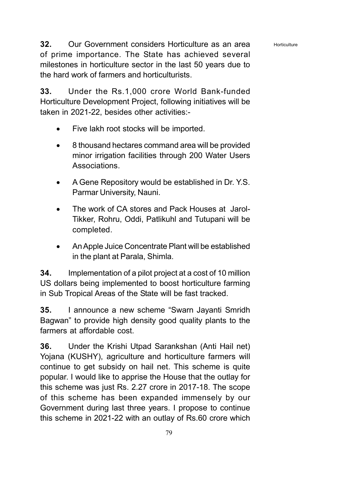**Horticulture** 

32. Our Government considers Horticulture as an area of prime importance. The State has achieved several milestones in horticulture sector in the last 50 years due to the hard work of farmers and horticulturists.

33. Under the Rs.1,000 crore World Bank-funded Horticulture Development Project, following initiatives will be taken in 2021-22, besides other activities:-

- Five lakh root stocks will be imported.
- 8 thousand hectares command area will be provided minor irrigation facilities through 200 Water Users Associations.
- A Gene Repository would be established in Dr. Y.S. Parmar University, Nauni.
- The work of CA stores and Pack Houses at Jarol-Tikker, Rohru, Oddi, Patlikuhl and Tutupani will be completed.
- An Apple Juice Concentrate Plant will be established in the plant at Parala, Shimla.

34. Implementation of a pilot project at a cost of 10 million US dollars being implemented to boost horticulture farming in Sub Tropical Areas of the State will be fast tracked.

35. I announce a new scheme "Swarn Jayanti Smridh Bagwan" to provide high density good quality plants to the farmers at affordable cost.

36. Under the Krishi Utpad Sarankshan (Anti Hail net) Yojana (KUSHY), agriculture and horticulture farmers will continue to get subsidy on hail net. This scheme is quite popular. I would like to apprise the House that the outlay for this scheme was just Rs. 2.27 crore in 2017-18. The scope of this scheme has been expanded immensely by our Government during last three years. I propose to continue this scheme in 2021-22 with an outlay of Rs.60 crore which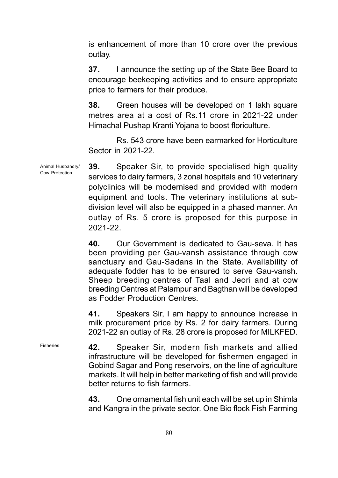is enhancement of more than 10 crore over the previous outlay.

**37.** I announce the setting up of the State Bee Board to encourage beekeeping activities and to ensure appropriate price to farmers for their produce.

38. Green houses will be developed on 1 lakh square metres area at a cost of Rs.11 crore in 2021-22 under Himachal Pushap Kranti Yojana to boost floriculture.

Rs. 543 crore have been earmarked for Horticulture Sector in 2021-22.

39. Speaker Sir, to provide specialised high quality services to dairy farmers, 3 zonal hospitals and 10 veterinary polyclinics will be modernised and provided with modern equipment and tools. The veterinary institutions at subdivision level will also be equipped in a phased manner. An outlay of Rs. 5 crore is proposed for this purpose in 2021-22. Animal Husbandry/ Cow Protection

> 40. Our Government is dedicated to Gau-seva. It has been providing per Gau-vansh assistance through cow sanctuary and Gau-Sadans in the State. Availability of adequate fodder has to be ensured to serve Gau-vansh. Sheep breeding centres of Taal and Jeori and at cow breeding Centres at Palampur and Bagthan will be developed as Fodder Production Centres.

> 41. Speakers Sir, I am happy to announce increase in milk procurement price by Rs. 2 for dairy farmers. During 2021-22 an outlay of Rs. 28 crore is proposed for MILKFED.

Fisheries

42. Speaker Sir, modern fish markets and allied infrastructure will be developed for fishermen engaged in Gobind Sagar and Pong reservoirs, on the line of agriculture markets. It will help in better marketing of fish and will provide better returns to fish farmers.

43. One ornamental fish unit each will be set up in Shimla and Kangra in the private sector. One Bio flock Fish Farming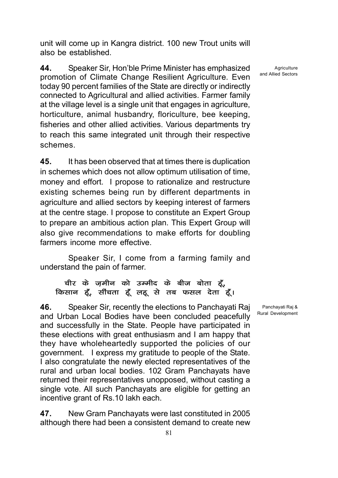unit will come up in Kangra district. 100 new Trout units will also be established.

44. Speaker Sir, Hon'ble Prime Minister has emphasized promotion of Climate Change Resilient Agriculture. Even today 90 percent families of the State are directly or indirectly connected to Agricultural and allied activities. Farmer family at the village level is a single unit that engages in agriculture, horticulture, animal husbandry, floriculture, bee keeping, fisheries and other allied activities. Various departments try to reach this same integrated unit through their respective schemes.

45. It has been observed that at times there is duplication in schemes which does not allow optimum utilisation of time, money and effort. I propose to rationalize and restructure existing schemes being run by different departments in agriculture and allied sectors by keeping interest of farmers at the centre stage. I propose to constitute an Expert Group to prepare an ambitious action plan. This Expert Group will also give recommendations to make efforts for doubling farmers income more effective.

Speaker Sir, I come from a farming family and understand the pain of farmer.

### चीर के ज़मीन को उम्मीद के बीज बोता हूँ, किसान हूँ, सींचता हूँ लहू से तब फसल देता हूँ।

46. Speaker Sir, recently the elections to Panchayati Raj and Urban Local Bodies have been concluded peacefully and successfully in the State. People have participated in these elections with great enthusiasm and I am happy that they have wholeheartedly supported the policies of our government. I express my gratitude to people of the State. I also congratulate the newly elected representatives of the rural and urban local bodies. 102 Gram Panchayats have returned their representatives unopposed, without casting a single vote. All such Panchayats are eligible for getting an incentive grant of Rs.10 lakh each.

47. New Gram Panchayats were last constituted in 2005 although there had been a consistent demand to create new

**Agriculture** and Allied Sectors

Panchayati Raj & Rural Development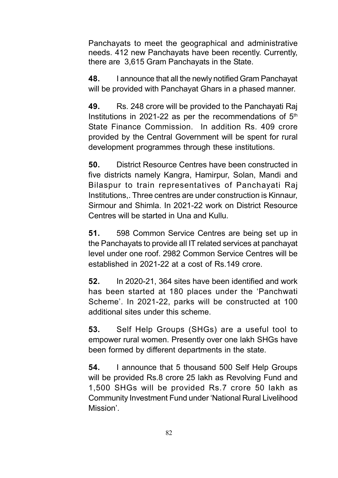Panchayats to meet the geographical and administrative needs. 412 new Panchayats have been recently. Currently, there are 3,615 Gram Panchayats in the State.

48. I announce that all the newly notified Gram Panchayat will be provided with Panchayat Ghars in a phased manner.

49. Rs. 248 crore will be provided to the Panchayati Raj Institutions in 2021-22 as per the recommendations of  $5<sup>th</sup>$ State Finance Commission. In addition Rs. 409 crore provided by the Central Government will be spent for rural development programmes through these institutions.

50. District Resource Centres have been constructed in five districts namely Kangra, Hamirpur, Solan, Mandi and Bilaspur to train representatives of Panchayati Raj Institutions,. Three centres are under construction is Kinnaur, Sirmour and Shimla. In 2021-22 work on District Resource Centres will be started in Una and Kullu.

51. 598 Common Service Centres are being set up in the Panchayats to provide all IT related services at panchayat level under one roof. 2982 Common Service Centres will be established in 2021-22 at a cost of Rs.149 crore.

52. In 2020-21, 364 sites have been identified and work has been started at 180 places under the 'Panchwati Scheme'. In 2021-22, parks will be constructed at 100 additional sites under this scheme.

53. Self Help Groups (SHGs) are a useful tool to empower rural women. Presently over one lakh SHGs have been formed by different departments in the state.

54. I announce that 5 thousand 500 Self Help Groups will be provided Rs.8 crore 25 lakh as Revolving Fund and 1,500 SHGs will be provided Rs.7 crore 50 lakh as Community Investment Fund under 'National Rural Livelihood Mission'.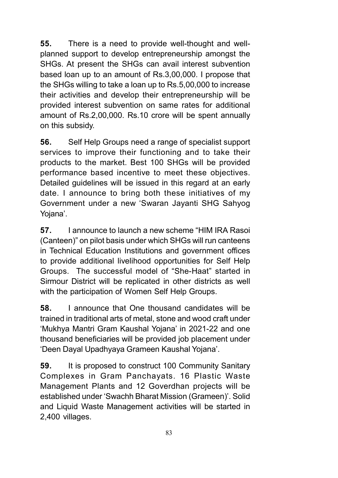55. There is a need to provide well-thought and wellplanned support to develop entrepreneurship amongst the SHGs. At present the SHGs can avail interest subvention based loan up to an amount of Rs.3,00,000. I propose that the SHGs willing to take a loan up to Rs.5,00,000 to increase their activities and develop their entrepreneurship will be provided interest subvention on same rates for additional amount of Rs.2,00,000. Rs.10 crore will be spent annually on this subsidy.

56. Self Help Groups need a range of specialist support services to improve their functioning and to take their products to the market. Best 100 SHGs will be provided performance based incentive to meet these objectives. Detailed guidelines will be issued in this regard at an early date. I announce to bring both these initiatives of my Government under a new 'Swaran Jayanti SHG Sahyog Yojana'.

57. I announce to launch a new scheme "HIM IRA Rasoi (Canteen)" on pilot basis under which SHGs will run canteens in Technical Education Institutions and government offices to provide additional livelihood opportunities for Self Help Groups. The successful model of "She-Haat" started in Sirmour District will be replicated in other districts as well with the participation of Women Self Help Groups.

58. I announce that One thousand candidates will be trained in traditional arts of metal, stone and wood craft under 'Mukhya Mantri Gram Kaushal Yojana' in 2021-22 and one thousand beneficiaries will be provided job placement under 'Deen Dayal Upadhyaya Grameen Kaushal Yojana'.

**59.** It is proposed to construct 100 Community Sanitary Complexes in Gram Panchayats. 16 Plastic Waste Management Plants and 12 Goverdhan projects will be established under 'Swachh Bharat Mission (Grameen)'. Solid and Liquid Waste Management activities will be started in 2,400 villages.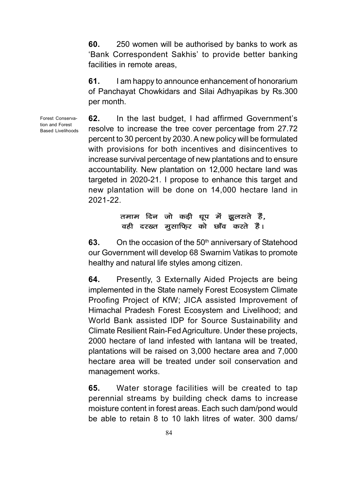60. 250 women will be authorised by banks to work as 'Bank Correspondent Sakhis' to provide better banking facilities in remote areas,

61. I am happy to announce enhancement of honorarium of Panchayat Chowkidars and Silai Adhyapikas by Rs.300 per month.

Forest Conservation and Forest Based Livelihoods

62. In the last budget, I had affirmed Government's resolve to increase the tree cover percentage from 27.72 percent to 30 percent by 2030. A new policy will be formulated with provisions for both incentives and disincentives to increase survival percentage of new plantations and to ensure accountability. New plantation on 12,000 hectare land was targeted in 2020-21. I propose to enhance this target and new plantation will be done on 14,000 hectare land in 2021-22.

## तमाम दिन जो कड़ी धूप में झूलसते हैं, वही दरख्त मुसाफि़र को छाँव करते हैं।

63. On the occasion of the  $50<sup>th</sup>$  anniversary of Statehood our Government will develop 68 Swarnim Vatikas to promote healthy and natural life styles among citizen.

64. Presently, 3 Externally Aided Projects are being implemented in the State namely Forest Ecosystem Climate Proofing Project of KfW; JICA assisted Improvement of Himachal Pradesh Forest Ecosystem and Livelihood; and World Bank assisted IDP for Source Sustainability and Climate Resilient Rain-Fed Agriculture. Under these projects, 2000 hectare of land infested with lantana will be treated, plantations will be raised on 3,000 hectare area and 7,000 hectare area will be treated under soil conservation and management works.

65. Water storage facilities will be created to tap perennial streams by building check dams to increase moisture content in forest areas. Each such dam/pond would be able to retain 8 to 10 lakh litres of water. 300 dams/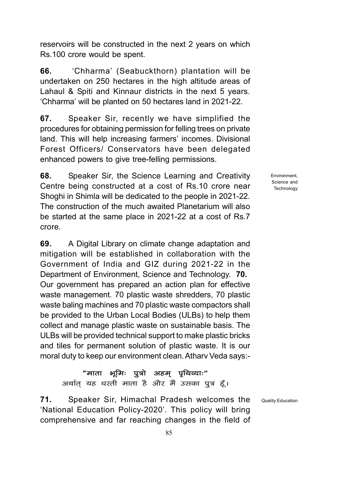reservoirs will be constructed in the next 2 years on which Rs.100 crore would be spent.

66. 'Chharma' (Seabuckthorn) plantation will be undertaken on 250 hectares in the high altitude areas of Lahaul & Spiti and Kinnaur districts in the next 5 years. 'Chharma' will be planted on 50 hectares land in 2021-22.

67. Speaker Sir, recently we have simplified the procedures for obtaining permission for felling trees on private land. This will help increasing farmers' incomes. Divisional Forest Officers/ Conservators have been delegated enhanced powers to give tree-felling permissions.

68. Speaker Sir, the Science Learning and Creativity Centre being constructed at a cost of Rs.10 crore near Shoghi in Shimla will be dedicated to the people in 2021-22. The construction of the much awaited Planetarium will also be started at the same place in 2021-22 at a cost of Rs.7 crore.

69. A Digital Library on climate change adaptation and mitigation will be established in collaboration with the Government of India and GIZ during 2021-22 in the Department of Environment, Science and Technology. 70. Our government has prepared an action plan for effective waste management. 70 plastic waste shredders, 70 plastic waste baling machines and 70 plastic waste compactors shall be provided to the Urban Local Bodies (ULBs) to help them collect and manage plastic waste on sustainable basis. The ULBs will be provided technical support to make plastic bricks and tiles for permanent solution of plastic waste. It is our moral duty to keep our environment clean. Atharv Veda says:-

#### "माता भूमिः पुत्रो अहम् पृथिव्याः"

अर्थात् यह धरती माता है और मैं उसका पुत्र हूँ।

71. Speaker Sir, Himachal Pradesh welcomes the 'National Education Policy-2020'. This policy will bring comprehensive and far reaching changes in the field of

**Environment** Science and **Technology** 

Quality Education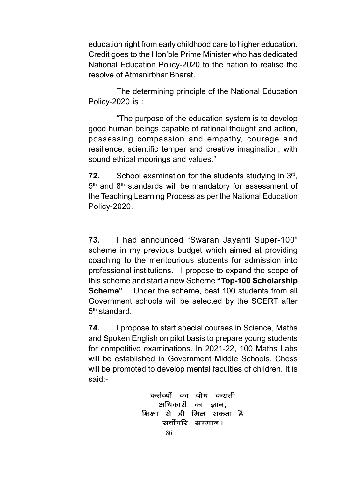education right from early childhood care to higher education. Credit goes to the Hon'ble Prime Minister who has dedicated National Education Policy-2020 to the nation to realise the resolve of Atmanirbhar Bharat.

The determining principle of the National Education Policy-2020 is :

"The purpose of the education system is to develop good human beings capable of rational thought and action, possessing compassion and empathy, courage and resilience, scientific temper and creative imagination, with sound ethical moorings and values."

**72.** School examination for the students studying in  $3^{rd}$ , 5<sup>th</sup> and 8<sup>th</sup> standards will be mandatory for assessment of the Teaching Learning Process as per the National Education Policy-2020.

73. I had announced "Swaran Jayanti Super-100" scheme in my previous budget which aimed at providing coaching to the meritourious students for admission into professional institutions. I propose to expand the scope of this scheme and start a new Scheme "Top-100 Scholarship Scheme". Under the scheme, best 100 students from all Government schools will be selected by the SCERT after 5<sup>th</sup> standard.

**74.** I propose to start special courses in Science, Maths and Spoken English on pilot basis to prepare young students for competitive examinations. In 2021-22, 100 Maths Labs will be established in Government Middle Schools. Chess will be promoted to develop mental faculties of children. It is said:-

> कर्तव्यों का बोध कराती अधिकारों का ज्ञान. शिक्षा से ही मिल सकता है सर्वोपरि सम्मान।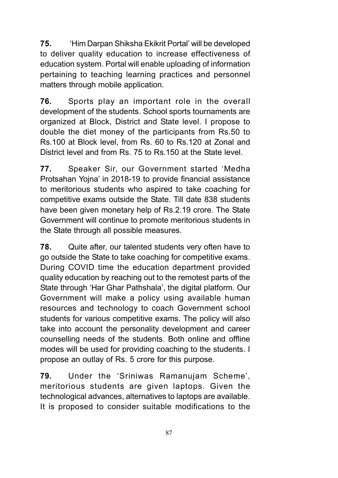75. 'Him Darpan Shiksha Ekikrit Portal' will be developed to deliver quality education to increase effectiveness of education system. Portal will enable uploading of information pertaining to teaching learning practices and personnel matters through mobile application.

76. Sports play an important role in the overall development of the students. School sports tournaments are organized at Block, District and State level. I propose to double the diet money of the participants from Rs.50 to Rs.100 at Block level, from Rs. 60 to Rs.120 at Zonal and District level and from Rs. 75 to Rs.150 at the State level.

77. Speaker Sir, our Government started 'Medha Protsahan Yojna' in 2018-19 to provide financial assistance to meritorious students who aspired to take coaching for competitive exams outside the State. Till date 838 students have been given monetary help of Rs.2.19 crore. The State Government will continue to promote meritorious students in the State through all possible measures.

78. Quite after, our talented students very often have to go outside the State to take coaching for competitive exams. During COVID time the education department provided quality education by reaching out to the remotest parts of the State through 'Har Ghar Pathshala', the digital platform. Our Government will make a policy using available human resources and technology to coach Government school students for various competitive exams. The policy will also take into account the personality development and career counselling needs of the students. Both online and offline modes will be used for providing coaching to the students. I propose an outlay of Rs. 5 crore for this purpose.

79. Under the 'Sriniwas Ramanujam Scheme', meritorious students are given laptops. Given the technological advances, alternatives to laptops are available. It is proposed to consider suitable modifications to the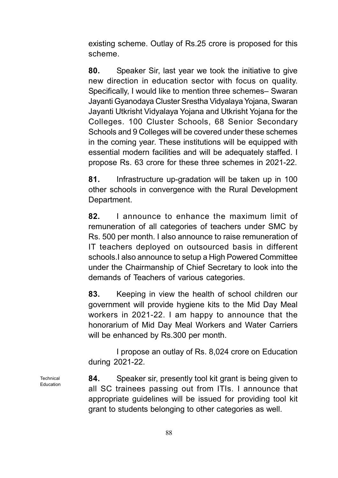existing scheme. Outlay of Rs.25 crore is proposed for this scheme.

80. Speaker Sir, last year we took the initiative to give new direction in education sector with focus on quality. Specifically, I would like to mention three schemes– Swaran Jayanti Gyanodaya Cluster Srestha Vidyalaya Yojana, Swaran Jayanti Utkrisht Vidyalaya Yojana and Utkrisht Yojana for the Colleges. 100 Cluster Schools, 68 Senior Secondary Schools and 9 Colleges will be covered under these schemes in the coming year. These institutions will be equipped with essential modern facilities and will be adequately staffed. I propose Rs. 63 crore for these three schemes in 2021-22.

81. Infrastructure up-gradation will be taken up in 100 other schools in convergence with the Rural Development Department.

82. I announce to enhance the maximum limit of remuneration of all categories of teachers under SMC by Rs. 500 per month. I also announce to raise remuneration of IT teachers deployed on outsourced basis in different schools.I also announce to setup a High Powered Committee under the Chairmanship of Chief Secretary to look into the demands of Teachers of various categories.

83. Keeping in view the health of school children our government will provide hygiene kits to the Mid Day Meal workers in 2021-22. I am happy to announce that the honorarium of Mid Day Meal Workers and Water Carriers will be enhanced by Rs.300 per month.

I propose an outlay of Rs. 8,024 crore on Education during 2021-22.

84. Speaker sir, presently tool kit grant is being given to all SC trainees passing out from ITIs. I announce that appropriate guidelines will be issued for providing tool kit grant to students belonging to other categories as well.

Technical Education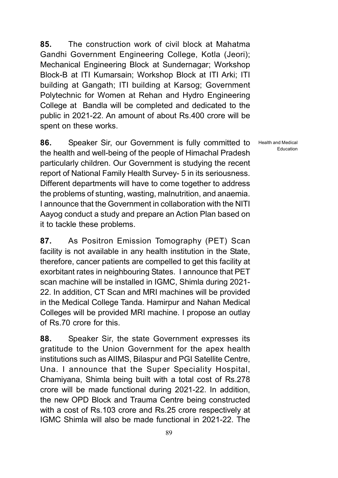85. The construction work of civil block at Mahatma Gandhi Government Engineering College, Kotla (Jeori); Mechanical Engineering Block at Sundernagar; Workshop Block-B at ITI Kumarsain; Workshop Block at ITI Arki; ITI building at Gangath; ITI building at Karsog; Government Polytechnic for Women at Rehan and Hydro Engineering College at Bandla will be completed and dedicated to the public in 2021-22. An amount of about Rs.400 crore will be spent on these works.

86. Speaker Sir, our Government is fully committed to the health and well-being of the people of Himachal Pradesh particularly children. Our Government is studying the recent report of National Family Health Survey- 5 in its seriousness. Different departments will have to come together to address the problems of stunting, wasting, malnutrition, and anaemia. I announce that the Government in collaboration with the NITI Aayog conduct a study and prepare an Action Plan based on it to tackle these problems.

87. As Positron Emission Tomography (PET) Scan facility is not available in any health institution in the State, therefore, cancer patients are compelled to get this facility at exorbitant rates in neighbouring States. I announce that PET scan machine will be installed in IGMC, Shimla during 2021- 22. In addition, CT Scan and MRI machines will be provided in the Medical College Tanda. Hamirpur and Nahan Medical Colleges will be provided MRI machine. I propose an outlay of Rs.70 crore for this.

88. Speaker Sir, the state Government expresses its gratitude to the Union Government for the apex health institutions such as AIIMS, Bilaspur and PGI Satellite Centre, Una. I announce that the Super Speciality Hospital, Chamiyana, Shimla being built with a total cost of Rs.278 crore will be made functional during 2021-22. In addition, the new OPD Block and Trauma Centre being constructed with a cost of Rs.103 crore and Rs.25 crore respectively at IGMC Shimla will also be made functional in 2021-22. The

Health and Medical Education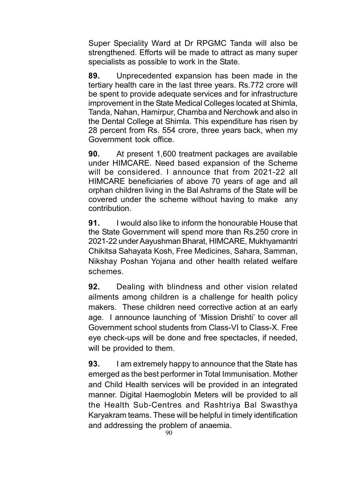Super Speciality Ward at Dr RPGMC Tanda will also be strengthened. Efforts will be made to attract as many super specialists as possible to work in the State.

89. Unprecedented expansion has been made in the tertiary health care in the last three years. Rs.772 crore will be spent to provide adequate services and for infrastructure improvement in the State Medical Colleges located at Shimla, Tanda, Nahan, Hamirpur, Chamba and Nerchowk and also in the Dental College at Shimla. This expenditure has risen by 28 percent from Rs. 554 crore, three years back, when my Government took office.

90. At present 1,600 treatment packages are available under HIMCARE. Need based expansion of the Scheme will be considered. I announce that from 2021-22 all HIMCARE beneficiaries of above 70 years of age and all orphan children living in the Bal Ashrams of the State will be covered under the scheme without having to make any contribution.

91. I would also like to inform the honourable House that the State Government will spend more than Rs.250 crore in 2021-22 under Aayushman Bharat, HIMCARE, Mukhyamantri Chikitsa Sahayata Kosh, Free Medicines, Sahara, Samman, Nikshay Poshan Yojana and other health related welfare schemes.

**92.** Dealing with blindness and other vision related ailments among children is a challenge for health policy makers. These children need corrective action at an early age. I announce launching of 'Mission Drishti' to cover all Government school students from Class-VI to Class-X. Free eye check-ups will be done and free spectacles, if needed, will be provided to them.

**93.** I am extremely happy to announce that the State has emerged as the best performer in Total Immunisation. Mother and Child Health services will be provided in an integrated manner. Digital Haemoglobin Meters will be provided to all the Health Sub-Centres and Rashtriya Bal Swasthya Karyakram teams. These will be helpful in timely identification and addressing the problem of anaemia.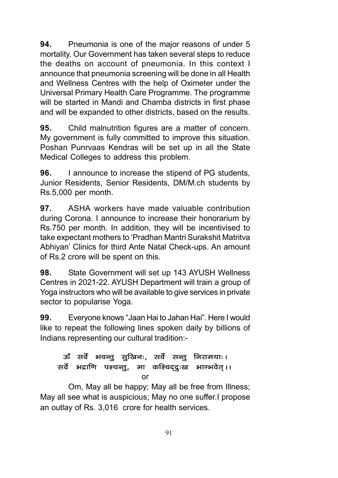94. Pneumonia is one of the major reasons of under 5 mortality. Our Government has taken several steps to reduce the deaths on account of pneumonia. In this context I announce that pneumonia screening will be done in all Health and Wellness Centres with the help of Oximeter under the Universal Primary Health Care Programme. The programme will be started in Mandi and Chamba districts in first phase and will be expanded to other districts, based on the results.

95. Child malnutrition figures are a matter of concern. My government is fully committed to improve this situation. Poshan Punrvaas Kendras will be set up in all the State Medical Colleges to address this problem.

**96.** I announce to increase the stipend of PG students, Junior Residents, Senior Residents, DM/M.ch students by Rs.5,000 per month.

97. ASHA workers have made valuable contribution during Corona. I announce to increase their honorarium by Rs.750 per month. In addition, they will be incentivised to take expectant mothers to 'Pradhan Mantri Surakshit Matritva Abhiyan' Clinics for third Ante Natal Check-ups. An amount of Rs.2 crore will be spent on this.

98. State Government will set up 143 AYUSH Wellness Centres in 2021-22. AYUSH Department will train a group of Yoga instructors who will be available to give services in private sector to popularise Yoga.

99. Everyone knows "Jaan Hai to Jahan Hai". Here I would like to repeat the following lines spoken daily by billions of Indians representing our cultural tradition:-

# ऊँ सर्वे भवन्तु सुख्रिनः, सर्वे सन्तु निरामयाः। सर्वे भद्राणि पश्यन्तु, मा कश्चिद्दूःख भाग्भवेत् ।। or

Om, May all be happy; May all be free from Illness; May all see what is auspicious; May no one suffer.I propose an outlay of Rs. 3,016 crore for health services.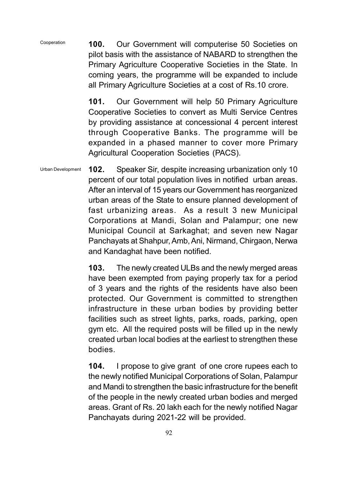100. Our Government will computerise 50 Societies on pilot basis with the assistance of NABARD to strengthen the Primary Agriculture Cooperative Societies in the State. In coming years, the programme will be expanded to include all Primary Agriculture Societies at a cost of Rs.10 crore. Cooperation

> 101. Our Government will help 50 Primary Agriculture Cooperative Societies to convert as Multi Service Centres by providing assistance at concessional 4 percent interest through Cooperative Banks. The programme will be expanded in a phased manner to cover more Primary Agricultural Cooperation Societies (PACS).

102. Speaker Sir, despite increasing urbanization only 10 percent of our total population lives in notified urban areas. After an interval of 15 years our Government has reorganized urban areas of the State to ensure planned development of fast urbanizing areas. As a result 3 new Municipal Corporations at Mandi, Solan and Palampur; one new Municipal Council at Sarkaghat; and seven new Nagar Panchayats at Shahpur, Amb, Ani, Nirmand, Chirgaon, Nerwa and Kandaghat have been notified. Urban Development

> 103. The newly created ULBs and the newly merged areas have been exempted from paying properly tax for a period of 3 years and the rights of the residents have also been protected. Our Government is committed to strengthen infrastructure in these urban bodies by providing better facilities such as street lights, parks, roads, parking, open gym etc. All the required posts will be filled up in the newly created urban local bodies at the earliest to strengthen these bodies.

> 104. I propose to give grant of one crore rupees each to the newly notified Municipal Corporations of Solan, Palampur and Mandi to strengthen the basic infrastructure for the benefit of the people in the newly created urban bodies and merged areas. Grant of Rs. 20 lakh each for the newly notified Nagar Panchayats during 2021-22 will be provided.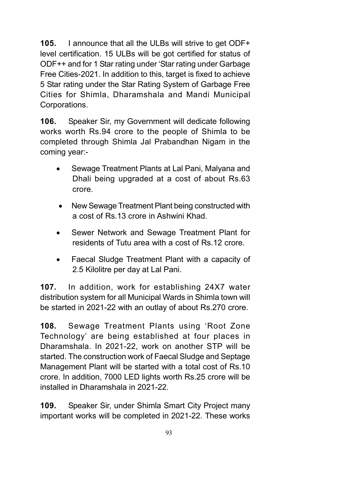105. I announce that all the ULBs will strive to get ODF+ level certification. 15 ULBs will be got certified for status of ODF++ and for 1 Star rating under 'Star rating under Garbage Free Cities-2021. In addition to this, target is fixed to achieve 5 Star rating under the Star Rating System of Garbage Free Cities for Shimla, Dharamshala and Mandi Municipal Corporations.

106. Speaker Sir, my Government will dedicate following works worth Rs.94 crore to the people of Shimla to be completed through Shimla Jal Prabandhan Nigam in the coming year:-

- Sewage Treatment Plants at Lal Pani, Malyana and Dhali being upgraded at a cost of about Rs.63 crore.
- New Sewage Treatment Plant being constructed with a cost of Rs.13 crore in Ashwini Khad.
- Sewer Network and Sewage Treatment Plant for residents of Tutu area with a cost of Rs.12 crore.
- Faecal Sludge Treatment Plant with a capacity of 2.5 Kilolitre per day at Lal Pani.

107. In addition, work for establishing 24X7 water distribution system for all Municipal Wards in Shimla town will be started in 2021-22 with an outlay of about Rs.270 crore.

108. Sewage Treatment Plants using 'Root Zone Technology' are being established at four places in Dharamshala. In 2021-22, work on another STP will be started. The construction work of Faecal Sludge and Septage Management Plant will be started with a total cost of Rs.10 crore. In addition, 7000 LED lights worth Rs.25 crore will be installed in Dharamshala in 2021-22.

109. Speaker Sir, under Shimla Smart City Project many important works will be completed in 2021-22. These works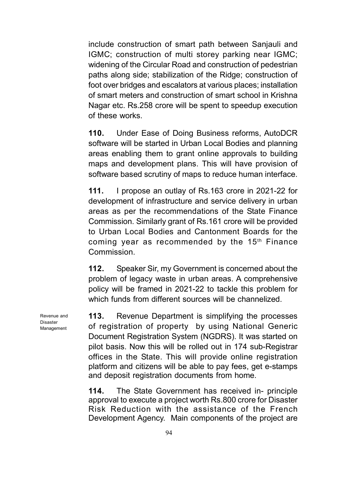include construction of smart path between Sanjauli and IGMC; construction of multi storey parking near IGMC; widening of the Circular Road and construction of pedestrian paths along side; stabilization of the Ridge; construction of foot over bridges and escalators at various places; installation of smart meters and construction of smart school in Krishna Nagar etc. Rs.258 crore will be spent to speedup execution of these works.

110. Under Ease of Doing Business reforms, AutoDCR software will be started in Urban Local Bodies and planning areas enabling them to grant online approvals to building maps and development plans. This will have provision of software based scrutiny of maps to reduce human interface.

111. I propose an outlay of Rs.163 crore in 2021-22 for development of infrastructure and service delivery in urban areas as per the recommendations of the State Finance Commission. Similarly grant of Rs.161 crore will be provided to Urban Local Bodies and Cantonment Boards for the coming year as recommended by the 15<sup>th</sup> Finance Commission.

112. Speaker Sir, my Government is concerned about the problem of legacy waste in urban areas. A comprehensive policy will be framed in 2021-22 to tackle this problem for which funds from different sources will be channelized.

113. Revenue Department is simplifying the processes of registration of property by using National Generic Document Registration System (NGDRS). It was started on pilot basis. Now this will be rolled out in 174 sub-Registrar offices in the State. This will provide online registration platform and citizens will be able to pay fees, get e-stamps and deposit registration documents from home.

114. The State Government has received in- principle approval to execute a project worth Rs.800 crore for Disaster Risk Reduction with the assistance of the French Development Agency. Main components of the project are

Revenue and Disaster Management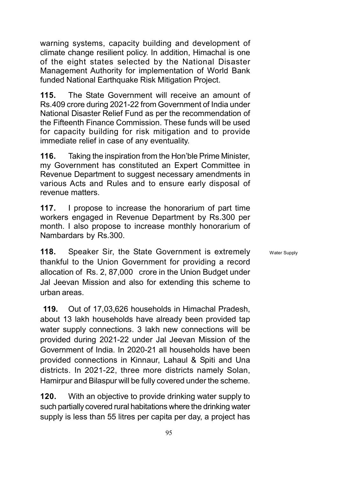warning systems, capacity building and development of climate change resilient policy. In addition, Himachal is one of the eight states selected by the National Disaster Management Authority for implementation of World Bank funded National Earthquake Risk Mitigation Project.

115. The State Government will receive an amount of Rs.409 crore during 2021-22 from Government of India under National Disaster Relief Fund as per the recommendation of the Fifteenth Finance Commission. These funds will be used for capacity building for risk mitigation and to provide immediate relief in case of any eventuality.

116. Taking the inspiration from the Hon'ble Prime Minister, my Government has constituted an Expert Committee in Revenue Department to suggest necessary amendments in various Acts and Rules and to ensure early disposal of revenue matters.

117. I propose to increase the honorarium of part time workers engaged in Revenue Department by Rs.300 per month. I also propose to increase monthly honorarium of Nambardars by Rs.300.

118. Speaker Sir, the State Government is extremely thankful to the Union Government for providing a record allocation of Rs. 2, 87,000 crore in the Union Budget under Jal Jeevan Mission and also for extending this scheme to urban areas.

 119. Out of 17,03,626 households in Himachal Pradesh, about 13 lakh households have already been provided tap water supply connections. 3 lakh new connections will be provided during 2021-22 under Jal Jeevan Mission of the Government of India. In 2020-21 all households have been provided connections in Kinnaur, Lahaul & Spiti and Una districts. In 2021-22, three more districts namely Solan, Hamirpur and Bilaspur will be fully covered under the scheme.

120. With an objective to provide drinking water supply to such partially covered rural habitations where the drinking water supply is less than 55 litres per capita per day, a project has

Water Supply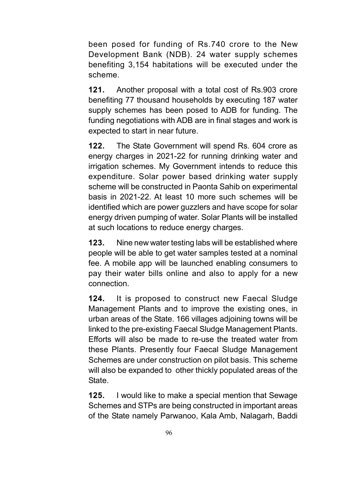been posed for funding of Rs.740 crore to the New Development Bank (NDB). 24 water supply schemes benefiting 3,154 habitations will be executed under the scheme.

121. Another proposal with a total cost of Rs.903 crore benefiting 77 thousand households by executing 187 water supply schemes has been posed to ADB for funding. The funding negotiations with ADB are in final stages and work is expected to start in near future.

122. The State Government will spend Rs. 604 crore as energy charges in 2021-22 for running drinking water and irrigation schemes. My Government intends to reduce this expenditure. Solar power based drinking water supply scheme will be constructed in Paonta Sahib on experimental basis in 2021-22. At least 10 more such schemes will be identified which are power guzzlers and have scope for solar energy driven pumping of water. Solar Plants will be installed at such locations to reduce energy charges.

123. Nine new water testing labs will be established where people will be able to get water samples tested at a nominal fee. A mobile app will be launched enabling consumers to pay their water bills online and also to apply for a new connection.

124. It is proposed to construct new Faecal Sludge Management Plants and to improve the existing ones, in urban areas of the State. 166 villages adjoining towns will be linked to the pre-existing Faecal Sludge Management Plants. Efforts will also be made to re-use the treated water from these Plants. Presently four Faecal Sludge Management Schemes are under construction on pilot basis. This scheme will also be expanded to other thickly populated areas of the State.

125. I would like to make a special mention that Sewage Schemes and STPs are being constructed in important areas of the State namely Parwanoo, Kala Amb, Nalagarh, Baddi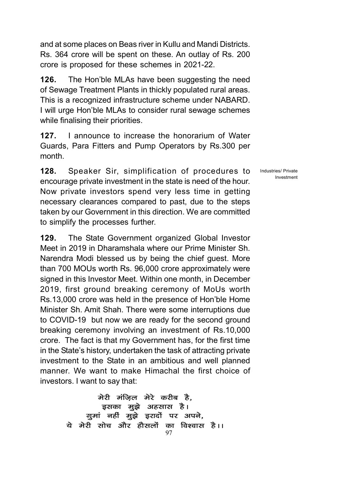and at some places on Beas river in Kullu and Mandi Districts. Rs. 364 crore will be spent on these. An outlay of Rs. 200 crore is proposed for these schemes in 2021-22.

**126.** The Hon'ble MLAs have been suggesting the need of Sewage Treatment Plants in thickly populated rural areas. This is a recognized infrastructure scheme under NABARD. I will urge Hon'ble MLAs to consider rural sewage schemes while finalising their priorities.

127. I announce to increase the honorarium of Water Guards, Para Fitters and Pump Operators by Rs.300 per month.

128. Speaker Sir, simplification of procedures to encourage private investment in the state is need of the hour. Now private investors spend very less time in getting necessary clearances compared to past, due to the steps taken by our Government in this direction. We are committed to simplify the processes further.

129. The State Government organized Global Investor Meet in 2019 in Dharamshala where our Prime Minister Sh. Narendra Modi blessed us by being the chief guest. More than 700 MOUs worth Rs. 96,000 crore approximately were signed in this Investor Meet. Within one month, in December 2019, first ground breaking ceremony of MoUs worth Rs.13,000 crore was held in the presence of Hon'ble Home Minister Sh. Amit Shah. There were some interruptions due to COVID-19 but now we are ready for the second ground breaking ceremony involving an investment of Rs.10,000 crore. The fact is that my Government has, for the first time in the State's history, undertaken the task of attracting private investment to the State in an ambitious and well planned manner. We want to make Himachal the first choice of investors. I want to say that:

> 97 मेरी मंज़िल मेरे करीब है, इसका मुझे अहसास है। गुमां नहीं मूझे इरादों पर अपने, ये मेरी सोच और हौसलों का विश्वास है।।

Industries/ Private Investment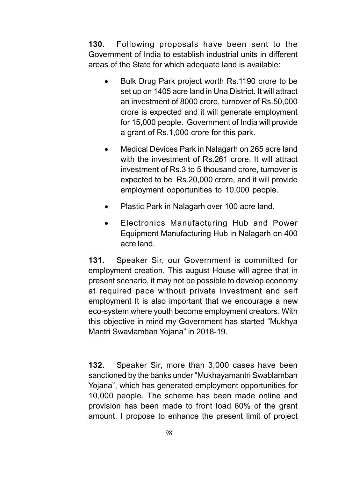130. Following proposals have been sent to the Government of India to establish industrial units in different areas of the State for which adequate land is available:

- Bulk Drug Park project worth Rs.1190 crore to be set up on 1405 acre land in Una District. It will attract an investment of 8000 crore, turnover of Rs.50,000 crore is expected and it will generate employment for 15,000 people. Government of India will provide a grant of Rs.1,000 crore for this park.
- Medical Devices Park in Nalagarh on 265 acre land with the investment of Rs.261 crore. It will attract investment of Rs.3 to 5 thousand crore, turnover is expected to be Rs.20,000 crore, and it will provide employment opportunities to 10,000 people.
- Plastic Park in Nalagarh over 100 acre land.
- Electronics Manufacturing Hub and Power Equipment Manufacturing Hub in Nalagarh on 400 acre land.

131. Speaker Sir, our Government is committed for employment creation. This august House will agree that in present scenario, it may not be possible to develop economy at required pace without private investment and self employment It is also important that we encourage a new eco-system where youth become employment creators. With this objective in mind my Government has started "Mukhya Mantri Swavlamban Yojana" in 2018-19.

**132.** Speaker Sir, more than 3,000 cases have been sanctioned by the banks under "Mukhayamantri Swablamban Yojana", which has generated employment opportunities for 10,000 people. The scheme has been made online and provision has been made to front load 60% of the grant amount. I propose to enhance the present limit of project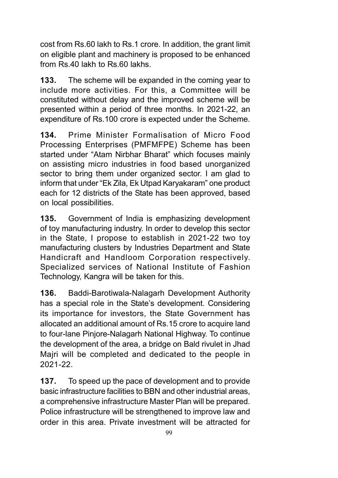cost from Rs.60 lakh to Rs.1 crore. In addition, the grant limit on eligible plant and machinery is proposed to be enhanced from Rs.40 lakh to Rs.60 lakhs.

133. The scheme will be expanded in the coming year to include more activities. For this, a Committee will be constituted without delay and the improved scheme will be presented within a period of three months. In 2021-22, an expenditure of Rs.100 crore is expected under the Scheme.

134. Prime Minister Formalisation of Micro Food Processing Enterprises (PMFMFPE) Scheme has been started under "Atam Nirbhar Bharat" which focuses mainly on assisting micro industries in food based unorganized sector to bring them under organized sector. I am glad to inform that under "Ek Zila, Ek Utpad Karyakaram" one product each for 12 districts of the State has been approved, based on local possibilities.

135. Government of India is emphasizing development of toy manufacturing industry. In order to develop this sector in the State, I propose to establish in 2021-22 two toy manufacturing clusters by Industries Department and State Handicraft and Handloom Corporation respectively. Specialized services of National Institute of Fashion Technology, Kangra will be taken for this.

136. Baddi-Barotiwala-Nalagarh Development Authority has a special role in the State's development. Considering its importance for investors, the State Government has allocated an additional amount of Rs.15 crore to acquire land to four-lane Pinjore-Nalagarh National Highway. To continue the development of the area, a bridge on Bald rivulet in Jhad Majri will be completed and dedicated to the people in 2021-22.

137. To speed up the pace of development and to provide basic infrastructure facilities to BBN and other industrial areas, a comprehensive infrastructure Master Plan will be prepared. Police infrastructure will be strengthened to improve law and order in this area. Private investment will be attracted for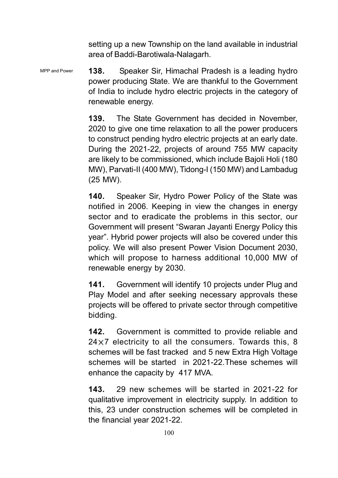setting up a new Township on the land available in industrial area of Baddi-Barotiwala-Nalagarh.

138. Speaker Sir, Himachal Pradesh is a leading hydro power producing State. We are thankful to the Government of India to include hydro electric projects in the category of renewable energy. MPP and Power

> 139. The State Government has decided in November, 2020 to give one time relaxation to all the power producers to construct pending hydro electric projects at an early date. During the 2021-22, projects of around 755 MW capacity are likely to be commissioned, which include Bajoli Holi (180 MW), Parvati-II (400 MW), Tidong-I (150 MW) and Lambadug (25 MW).

> 140. Speaker Sir, Hydro Power Policy of the State was notified in 2006. Keeping in view the changes in energy sector and to eradicate the problems in this sector, our Government will present "Swaran Jayanti Energy Policy this year". Hybrid power projects will also be covered under this policy. We will also present Power Vision Document 2030, which will propose to harness additional 10,000 MW of renewable energy by 2030.

> 141. Government will identify 10 projects under Plug and Play Model and after seeking necessary approvals these projects will be offered to private sector through competitive bidding.

> 142. Government is committed to provide reliable and  $24 \times 7$  electricity to all the consumers. Towards this, 8 schemes will be fast tracked and 5 new Extra High Voltage schemes will be started in 2021-22.These schemes will enhance the capacity by 417 MVA.

> 143. 29 new schemes will be started in 2021-22 for qualitative improvement in electricity supply. In addition to this, 23 under construction schemes will be completed in the financial year 2021-22.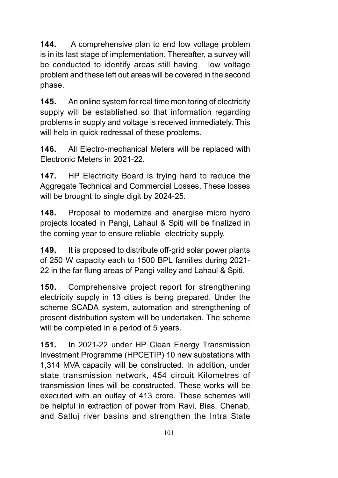144. A comprehensive plan to end low voltage problem is in its last stage of implementation. Thereafter, a survey will be conducted to identify areas still having low voltage problem and these left out areas will be covered in the second phase.

145. An online system for real time monitoring of electricity supply will be established so that information regarding problems in supply and voltage is received immediately. This will help in quick redressal of these problems.

146. All Electro-mechanical Meters will be replaced with Electronic Meters in 2021-22.

147. HP Electricity Board is trying hard to reduce the Aggregate Technical and Commercial Losses. These losses will be brought to single digit by 2024-25.

148. Proposal to modernize and energise micro hydro projects located in Pangi, Lahaul & Spiti will be finalized in the coming year to ensure reliable electricity supply.

149. It is proposed to distribute off-grid solar power plants of 250 W capacity each to 1500 BPL families during 2021- 22 in the far flung areas of Pangi valley and Lahaul & Spiti.

150. Comprehensive project report for strengthening electricity supply in 13 cities is being prepared. Under the scheme SCADA system, automation and strengthening of present distribution system will be undertaken. The scheme will be completed in a period of 5 years.

151. In 2021-22 under HP Clean Energy Transmission Investment Programme (HPCETIP) 10 new substations with 1,314 MVA capacity will be constructed. In addition, under state transmission network, 454 circuit Kilometres of transmission lines will be constructed. These works will be executed with an outlay of 413 crore. These schemes will be helpful in extraction of power from Ravi, Bias, Chenab, and Satluj river basins and strengthen the Intra State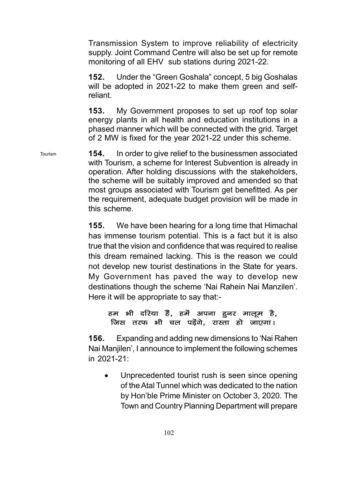Transmission System to improve reliability of electricity supply. Joint Command Centre will also be set up for remote monitoring of all EHV sub stations during 2021-22.

152. Under the "Green Goshala" concept, 5 big Goshalas will be adopted in 2021-22 to make them green and selfreliant.

153. My Government proposes to set up roof top solar energy plants in all health and education institutions in a phased manner which will be connected with the grid. Target of 2 MW is fixed for the year 2021-22 under this scheme.

154. In order to give relief to the businessmen associated with Tourism, a scheme for Interest Subvention is already in operation. After holding discussions with the stakeholders, the scheme will be suitably improved and amended so that most groups associated with Tourism get benefitted. As per the requirement, adequate budget provision will be made in this scheme.

Tourism

155. We have been hearing for a long time that Himachal has immense tourism potential. This is a fact but it is also true that the vision and confidence that was required to realise this dream remained lacking. This is the reason we could not develop new tourist destinations in the State for years. My Government has paved the way to develop new destinations though the scheme 'Nai Rahein Nai Manzilen'. Here it will be appropriate to say that:-

## हम भी दरिया हैं, हमें अपना हनर मालूम है, जिस तरफ भी चल पड़ेंगे, रास्ता हो जाएगा।

156. Expanding and adding new dimensions to 'Nai Rahen Nai Manjilen', I announce to implement the following schemes in 2021-21:

 Unprecedented tourist rush is seen since opening of the Atal Tunnel which was dedicated to the nation by Hon'ble Prime Minister on October 3, 2020. The Town and Country Planning Department will prepare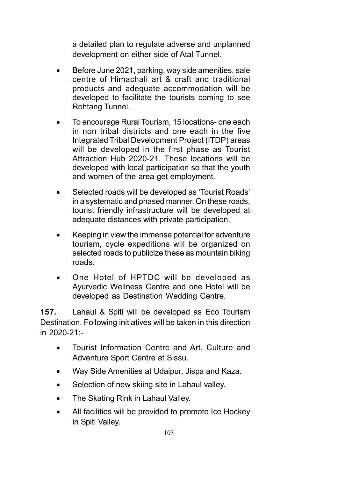a detailed plan to regulate adverse and unplanned development on either side of Atal Tunnel.

- Before June 2021, parking, way side amenities, sale centre of Himachali art & craft and traditional products and adequate accommodation will be developed to facilitate the tourists coming to see Rohtang Tunnel.
- To encourage Rural Tourism, 15 locations- one each in non tribal districts and one each in the five Integrated Tribal Development Project (ITDP) areas will be developed in the first phase as Tourist Attraction Hub 2020-21. These locations will be developed with local participation so that the youth and women of the area get employment.
- Selected roads will be developed as 'Tourist Roads' in a systematic and phased manner. On these roads, tourist friendly infrastructure will be developed at adequate distances with private participation.
- Keeping in view the immense potential for adventure tourism, cycle expeditions will be organized on selected roads to publicize these as mountain biking roads.
- One Hotel of HPTDC will be developed as Ayurvedic Wellness Centre and one Hotel will be developed as Destination Wedding Centre.

157. Lahaul & Spiti will be developed as Eco Tourism Destination. Following initiatives will be taken in this direction in 2020-21:-

- Tourist Information Centre and Art, Culture and Adventure Sport Centre at Sissu.
- Way Side Amenities at Udaipur, Jispa and Kaza.
- Selection of new skiing site in Lahaul valley.
- The Skating Rink in Lahaul Valley.
- All facilities will be provided to promote Ice Hockey in Spiti Valley.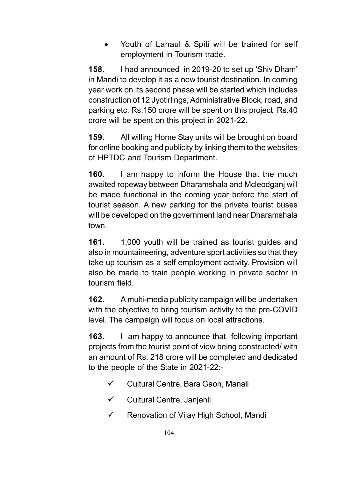Youth of Lahaul & Spiti will be trained for self employment in Tourism trade.

158. I had announced in 2019-20 to set up 'Shiv Dham' in Mandi to develop it as a new tourist destination. In coming year work on its second phase will be started which includes construction of 12 Jyotirlings, Administrative Block, road, and parking etc. Rs.150 crore will be spent on this project Rs.40 crore will be spent on this project in 2021-22.

159. All willing Home Stay units will be brought on board for online booking and publicity by linking them to the websites of HPTDC and Tourism Department.

**160.** I am happy to inform the House that the much awaited ropeway between Dharamshala and Mcleodganj will be made functional in the coming year before the start of tourist season. A new parking for the private tourist buses will be developed on the government land near Dharamshala town.

161. 1,000 youth will be trained as tourist guides and also in mountaineering, adventure sport activities so that they take up tourism as a self employment activity. Provision will also be made to train people working in private sector in tourism field.

162. A multi-media publicity campaign will be undertaken with the objective to bring tourism activity to the pre-COVID level. The campaign will focus on local attractions.

163. I am happy to announce that following important projects from the tourist point of view being constructed/ with an amount of Rs. 218 crore will be completed and dedicated to the people of the State in 2021-22:-

- $\checkmark$  Cultural Centre, Bara Gaon, Manali
- $\checkmark$  Cultural Centre, Janjehli
- $\checkmark$  Renovation of Vijay High School, Mandi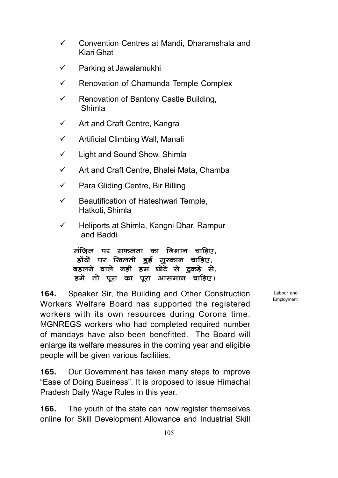- $\checkmark$  Convention Centres at Mandi, Dharamshala and Kiari Ghat
- $\checkmark$  Parking at Jawalamukhi
- $\checkmark$  Renovation of Chamunda Temple Complex
- $\checkmark$  Renovation of Bantony Castle Building, Shimla
- $\checkmark$  Art and Craft Centre, Kangra
- $\checkmark$  Artificial Climbing Wall, Manali
- $\checkmark$  Light and Sound Show, Shimla
- $\checkmark$  Art and Craft Centre, Bhalei Mata, Chamba
- $\checkmark$  Para Gliding Centre, Bir Billing
- $\checkmark$  Beautification of Hateshwari Temple, Hatkoti, Shimla
- $\checkmark$  Heliports at Shimla, Kangni Dhar, Rampur and Baddi

मंज़िल पर सफलता का निशान चाहिए. होंठों पर खिलती हुई मुस्कान चाहिए, बहलने वाले नहीं हम छोटे से ट्रकड़े से, हर्मे तो पूरा का पूरा आसमान चाहिए।

164. Speaker Sir, the Building and Other Construction Workers Welfare Board has supported the registered workers with its own resources during Corona time. MGNREGS workers who had completed required number of mandays have also been benefitted. The Board will enlarge its welfare measures in the coming year and eligible people will be given various facilities.

165. Our Government has taken many steps to improve "Ease of Doing Business". It is proposed to issue Himachal Pradesh Daily Wage Rules in this year.

166. The youth of the state can now register themselves online for Skill Development Allowance and Industrial Skill

Labour and Employment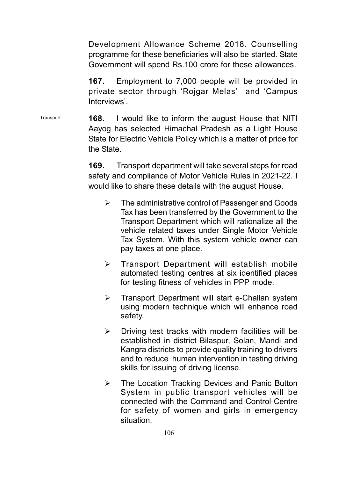Development Allowance Scheme 2018. Counselling programme for these beneficiaries will also be started. State Government will spend Rs.100 crore for these allowances.

167. Employment to 7,000 people will be provided in private sector through 'Rojgar Melas' and 'Campus Interviews'.

168. I would like to inform the august House that NITI Aayog has selected Himachal Pradesh as a Light House State for Electric Vehicle Policy which is a matter of pride for the State. **Transport** 

> 169. Transport department will take several steps for road safety and compliance of Motor Vehicle Rules in 2021-22. I would like to share these details with the august House.

- **EXEC** The administrative control of Passenger and Goods Tax has been transferred by the Government to the Transport Department which will rationalize all the vehicle related taxes under Single Motor Vehicle Tax System. With this system vehicle owner can pay taxes at one place.
- $\triangleright$  Transport Department will establish mobile automated testing centres at six identified places for testing fitness of vehicles in PPP mode.
- **F** Transport Department will start e-Challan system using modern technique which will enhance road safety.
- $\triangleright$  Driving test tracks with modern facilities will be established in district Bilaspur, Solan, Mandi and Kangra districts to provide quality training to drivers and to reduce human intervention in testing driving skills for issuing of driving license.
- The Location Tracking Devices and Panic Button System in public transport vehicles will be connected with the Command and Control Centre for safety of women and girls in emergency situation.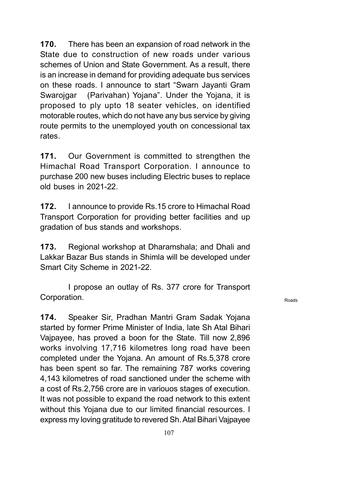170. There has been an expansion of road network in the State due to construction of new roads under various schemes of Union and State Government. As a result, there is an increase in demand for providing adequate bus services on these roads. I announce to start "Swarn Jayanti Gram Swarojgar (Parivahan) Yojana". Under the Yojana, it is proposed to ply upto 18 seater vehicles, on identified motorable routes, which do not have any bus service by giving route permits to the unemployed youth on concessional tax rates.

171. Our Government is committed to strengthen the Himachal Road Transport Corporation. I announce to purchase 200 new buses including Electric buses to replace old buses in 2021-22.

172. I announce to provide Rs.15 crore to Himachal Road Transport Corporation for providing better facilities and up gradation of bus stands and workshops.

173. Regional workshop at Dharamshala; and Dhali and Lakkar Bazar Bus stands in Shimla will be developed under Smart City Scheme in 2021-22.

I propose an outlay of Rs. 377 crore for Transport Corporation.

174. Speaker Sir, Pradhan Mantri Gram Sadak Yojana started by former Prime Minister of India, late Sh Atal Bihari Vajpayee, has proved a boon for the State. Till now 2,896 works involving 17,716 kilometres long road have been completed under the Yojana. An amount of Rs.5,378 crore has been spent so far. The remaining 787 works covering 4,143 kilometres of road sanctioned under the scheme with a cost of Rs.2,756 crore are in variouos stages of execution. It was not possible to expand the road network to this extent without this Yojana due to our limited financial resources. I express my loving gratitude to revered Sh. Atal Bihari Vajpayee

Roads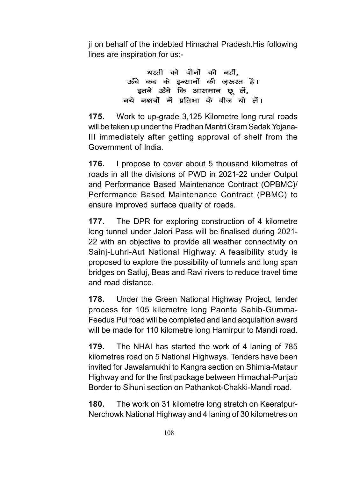ji on behalf of the indebted Himachal Pradesh.His following lines are inspiration for us:-

> धरती को बौनों की नहीं. ऊँचे कद के इन्सानों की जरूरत है। इतने ऊँचे कि आसमान छू लें, नये नक्षत्रों में प्रतिभा के बीज बो लें।

175. Work to up-grade 3,125 Kilometre long rural roads will be taken up under the Pradhan Mantri Gram Sadak Yojana-III immediately after getting approval of shelf from the Government of India.

176. I propose to cover about 5 thousand kilometres of roads in all the divisions of PWD in 2021-22 under Output and Performance Based Maintenance Contract (OPBMC)/ Performance Based Maintenance Contract (PBMC) to ensure improved surface quality of roads.

177. The DPR for exploring construction of 4 kilometre long tunnel under Jalori Pass will be finalised during 2021- 22 with an objective to provide all weather connectivity on Sainj-Luhri-Aut National Highway. A feasibility study is proposed to explore the possibility of tunnels and long span bridges on Satluj, Beas and Ravi rivers to reduce travel time and road distance.

178. Under the Green National Highway Project, tender process for 105 kilometre long Paonta Sahib-Gumma-Feedus Pul road will be completed and land acquisition award will be made for 110 kilometre long Hamirpur to Mandi road.

179. The NHAI has started the work of 4 laning of 785 kilometres road on 5 National Highways. Tenders have been invited for Jawalamukhi to Kangra section on Shimla-Mataur Highway and for the first package between Himachal-Punjab Border to Sihuni section on Pathankot-Chakki-Mandi road.

180. The work on 31 kilometre long stretch on Keeratpur-Nerchowk National Highway and 4 laning of 30 kilometres on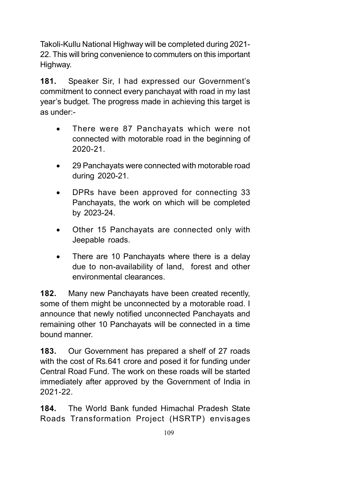Takoli-Kullu National Highway will be completed during 2021- 22. This will bring convenience to commuters on this important Highway.

181. Speaker Sir, I had expressed our Government's commitment to connect every panchayat with road in my last year's budget. The progress made in achieving this target is as under:-

- There were 87 Panchayats which were not connected with motorable road in the beginning of 2020-21.
- 29 Panchayats were connected with motorable road during 2020-21.
- DPRs have been approved for connecting 33 Panchayats, the work on which will be completed by 2023-24.
- Other 15 Panchayats are connected only with Jeepable roads.
- There are 10 Panchayats where there is a delay due to non-availability of land, forest and other environmental clearances.

182. Many new Panchayats have been created recently, some of them might be unconnected by a motorable road. I announce that newly notified unconnected Panchayats and remaining other 10 Panchayats will be connected in a time bound manner.

183. Our Government has prepared a shelf of 27 roads with the cost of Rs.641 crore and posed it for funding under Central Road Fund. The work on these roads will be started immediately after approved by the Government of India in 2021-22.

184. The World Bank funded Himachal Pradesh State Roads Transformation Project (HSRTP) envisages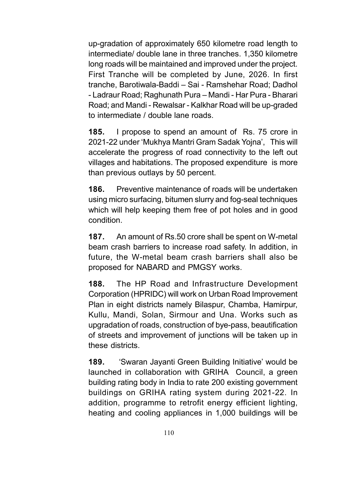up-gradation of approximately 650 kilometre road length to intermediate/ double lane in three tranches. 1,350 kilometre long roads will be maintained and improved under the project. First Tranche will be completed by June, 2026. In first tranche, Barotiwala-Baddi – Sai - Ramshehar Road; Dadhol - Ladraur Road; Raghunath Pura – Mandi - Har Pura - Bharari Road; and Mandi - Rewalsar - Kalkhar Road will be up-graded to intermediate / double lane roads.

185. I propose to spend an amount of Rs. 75 crore in 2021-22 under 'Mukhya Mantri Gram Sadak Yojna', This will accelerate the progress of road connectivity to the left out villages and habitations. The proposed expenditure is more than previous outlays by 50 percent.

186. Preventive maintenance of roads will be undertaken using micro surfacing, bitumen slurry and fog-seal techniques which will help keeping them free of pot holes and in good condition.

187. An amount of Rs.50 crore shall be spent on W-metal beam crash barriers to increase road safety. In addition, in future, the W-metal beam crash barriers shall also be proposed for NABARD and PMGSY works.

188. The HP Road and Infrastructure Development Corporation (HPRIDC) will work on Urban Road Improvement Plan in eight districts namely Bilaspur, Chamba, Hamirpur, Kullu, Mandi, Solan, Sirmour and Una. Works such as upgradation of roads, construction of bye-pass, beautification of streets and improvement of junctions will be taken up in these districts.

189. 'Swaran Jayanti Green Building Initiative' would be launched in collaboration with GRIHA Council, a green building rating body in India to rate 200 existing government buildings on GRIHA rating system during 2021-22. In addition, programme to retrofit energy efficient lighting, heating and cooling appliances in 1,000 buildings will be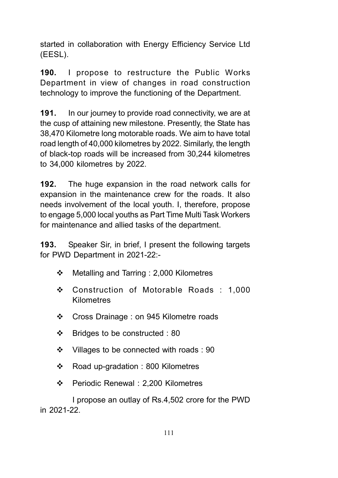started in collaboration with Energy Efficiency Service Ltd (EESL).

190. I propose to restructure the Public Works Department in view of changes in road construction technology to improve the functioning of the Department.

191. In our journey to provide road connectivity, we are at the cusp of attaining new milestone. Presently, the State has 38,470 Kilometre long motorable roads. We aim to have total road length of 40,000 kilometres by 2022. Similarly, the length of black-top roads will be increased from 30,244 kilometres to 34,000 kilometres by 2022.

192. The huge expansion in the road network calls for expansion in the maintenance crew for the roads. It also needs involvement of the local youth. I, therefore, propose to engage 5,000 local youths as Part Time Multi Task Workers for maintenance and allied tasks of the department.

193. Speaker Sir, in brief, I present the following targets for PWD Department in 2021-22:-

- Metalling and Tarring : 2,000 Kilometres
- Construction of Motorable Roads : 1,000 Kilometres
- ❖ Cross Drainage : on 945 Kilometre roads
- $\div$  Bridges to be constructed : 80
- $\cdot$  Villages to be connected with roads : 90
- ❖ Road up-gradation : 800 Kilometres
- Periodic Renewal : 2,200 Kilometres

I propose an outlay of Rs.4,502 crore for the PWD in 2021-22.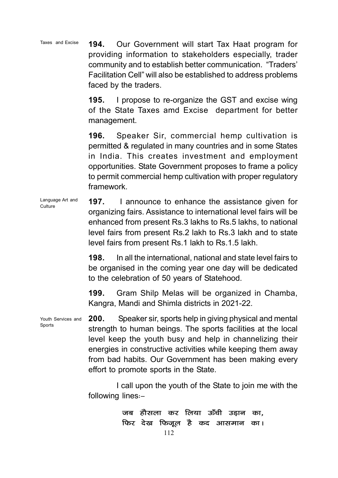194. Our Government will start Tax Haat program for providing information to stakeholders especially, trader community and to establish better communication. "Traders' Facilitation Cell" will also be established to address problems faced by the traders. Taxes and Excise

> 195. I propose to re-organize the GST and excise wing of the State Taxes amd Excise department for better management.

> 196. Speaker Sir, commercial hemp cultivation is permitted & regulated in many countries and in some States in India. This creates investment and employment opportunities. State Government proposes to frame a policy to permit commercial hemp cultivation with proper regulatory framework.

197. I announce to enhance the assistance given for organizing fairs. Assistance to international level fairs will be enhanced from present Rs.3 lakhs to Rs.5 lakhs, to national level fairs from present Rs.2 lakh to Rs.3 lakh and to state level fairs from present Rs.1 lakh to Rs.1.5 lakh. Language Art and **Culture** 

> 198. In all the international, national and state level fairs to be organised in the coming year one day will be dedicated to the celebration of 50 years of Statehood.

> 199. Gram Shilp Melas will be organized in Chamba, Kangra, Mandi and Shimla districts in 2021-22.

200. Speaker sir, sports help in giving physical and mental strength to human beings. The sports facilities at the local level keep the youth busy and help in channelizing their energies in constructive activities while keeping them away from bad habits. Our Government has been making every effort to promote sports in the State. Youth Services and

> I call upon the youth of the State to join me with the following lines $:-$

> > जब हौसला कर लिया ऊँची उड़ान का, फिर देख फिजूल है कद आसमान का।

Sports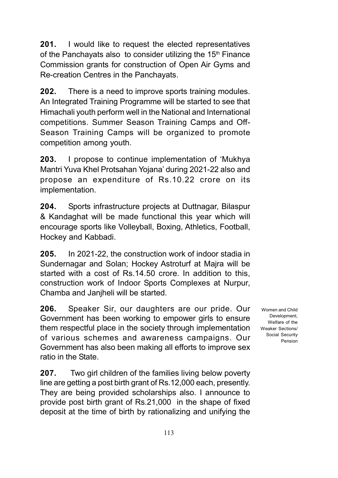201. I would like to request the elected representatives of the Panchayats also to consider utilizing the  $15<sup>th</sup>$  Finance Commission grants for construction of Open Air Gyms and Re-creation Centres in the Panchayats.

202. There is a need to improve sports training modules. An Integrated Training Programme will be started to see that Himachali youth perform well in the National and International competitions. Summer Season Training Camps and Off-Season Training Camps will be organized to promote competition among youth.

203. I propose to continue implementation of 'Mukhya Mantri Yuva Khel Protsahan Yojana' during 2021-22 also and propose an expenditure of Rs.10.22 crore on its implementation.

204. Sports infrastructure projects at Duttnagar, Bilaspur & Kandaghat will be made functional this year which will encourage sports like Volleyball, Boxing, Athletics, Football, Hockey and Kabbadi.

205. In 2021-22, the construction work of indoor stadia in Sundernagar and Solan; Hockey Astroturf at Majra will be started with a cost of Rs.14.50 crore. In addition to this, construction work of Indoor Sports Complexes at Nurpur, Chamba and Janjheli will be started.

206. Speaker Sir, our daughters are our pride. Our Government has been working to empower girls to ensure them respectful place in the society through implementation of various schemes and awareness campaigns. Our Government has also been making all efforts to improve sex ratio in the State.

207. Two girl children of the families living below poverty line are getting a post birth grant of Rs.12,000 each, presently. They are being provided scholarships also. I announce to provide post birth grant of Rs.21,000 in the shape of fixed deposit at the time of birth by rationalizing and unifying the

Women and Child **Development** Welfare of the Weaker Sections/ Social Security Pension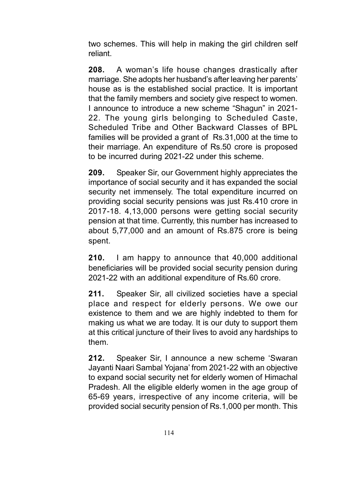two schemes. This will help in making the girl children self reliant.

208. A woman's life house changes drastically after marriage. She adopts her husband's after leaving her parents' house as is the established social practice. It is important that the family members and society give respect to women. I announce to introduce a new scheme "Shagun" in 2021- 22. The young girls belonging to Scheduled Caste, Scheduled Tribe and Other Backward Classes of BPL families will be provided a grant of Rs.31,000 at the time to their marriage. An expenditure of Rs.50 crore is proposed to be incurred during 2021-22 under this scheme.

209. Speaker Sir, our Government highly appreciates the importance of social security and it has expanded the social security net immensely. The total expenditure incurred on providing social security pensions was just Rs.410 crore in 2017-18. 4,13,000 persons were getting social security pension at that time. Currently, this number has increased to about 5,77,000 and an amount of Rs.875 crore is being spent.

210. I am happy to announce that 40,000 additional beneficiaries will be provided social security pension during 2021-22 with an additional expenditure of Rs.60 crore.

211. Speaker Sir, all civilized societies have a special place and respect for elderly persons. We owe our existence to them and we are highly indebted to them for making us what we are today. It is our duty to support them at this critical juncture of their lives to avoid any hardships to them.

212. Speaker Sir, I announce a new scheme 'Swaran Jayanti Naari Sambal Yojana' from 2021-22 with an objective to expand social security net for elderly women of Himachal Pradesh. All the eligible elderly women in the age group of 65-69 years, irrespective of any income criteria, will be provided social security pension of Rs.1,000 per month. This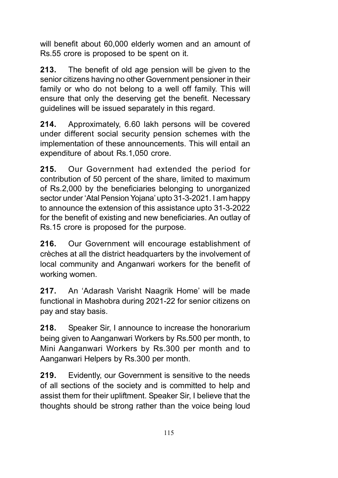will benefit about 60,000 elderly women and an amount of Rs.55 crore is proposed to be spent on it.

213. The benefit of old age pension will be given to the senior citizens having no other Government pensioner in their family or who do not belong to a well off family. This will ensure that only the deserving get the benefit. Necessary guidelines will be issued separately in this regard.

214. Approximately, 6.60 lakh persons will be covered under different social security pension schemes with the implementation of these announcements. This will entail an expenditure of about Rs.1,050 crore.

215. Our Government had extended the period for contribution of 50 percent of the share, limited to maximum of Rs.2,000 by the beneficiaries belonging to unorganized sector under 'Atal Pension Yojana' upto 31-3-2021. I am happy to announce the extension of this assistance upto 31-3-2022 for the benefit of existing and new beneficiaries. An outlay of Rs.15 crore is proposed for the purpose.

216. Our Government will encourage establishment of crèches at all the district headquarters by the involvement of local community and Anganwari workers for the benefit of working women.

217. An 'Adarash Varisht Naagrik Home' will be made functional in Mashobra during 2021-22 for senior citizens on pay and stay basis.

218. Speaker Sir, I announce to increase the honorarium being given to Aanganwari Workers by Rs.500 per month, to Mini Aanganwari Workers by Rs.300 per month and to Aanganwari Helpers by Rs.300 per month.

219. Evidently, our Government is sensitive to the needs of all sections of the society and is committed to help and assist them for their upliftment. Speaker Sir, I believe that the thoughts should be strong rather than the voice being loud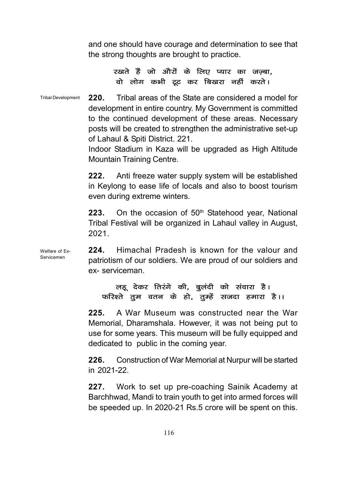and one should have courage and determination to see that the strong thoughts are brought to practice.

## रखते हैं जो औरों के लिए प्यार का जज़्बा, वो लोग कभी ट्रूट कर बिखरा नहीं करते।

220. Tribal areas of the State are considered a model for development in entire country. My Government is committed to the continued development of these areas. Necessary posts will be created to strengthen the administrative set-up of Lahaul & Spiti District. 221. Tribal Development

> Indoor Stadium in Kaza will be upgraded as High Altitude Mountain Training Centre.

> 222. Anti freeze water supply system will be established in Keylong to ease life of locals and also to boost tourism even during extreme winters.

> **223.** On the occasion of  $50<sup>th</sup>$  Statehood year, National Tribal Festival will be organized in Lahaul valley in August, 2021.

224. Himachal Pradesh is known for the valour and patriotism of our soldiers. We are proud of our soldiers and ex- serviceman. Welfare of Ex-Servicemen

## लहू देकर तिरंगे की, बुलंदी को संवारा है। फरिश्ते तुम वतन के हो, तुम्हें सजदा हमारा है।।

225. A War Museum was constructed near the War Memorial, Dharamshala. However, it was not being put to use for some years. This museum will be fully equipped and dedicated to public in the coming year.

226. Construction of War Memorial at Nurpur will be started in 2021-22.

227. Work to set up pre-coaching Sainik Academy at Barchhwad, Mandi to train youth to get into armed forces will be speeded up. In 2020-21 Rs.5 crore will be spent on this.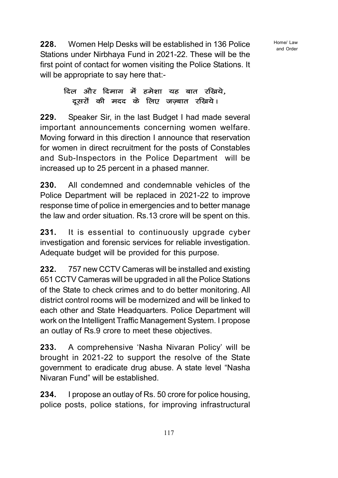Home/ Law and Order

228. Women Help Desks will be established in 136 Police Stations under Nirbhaya Fund in 2021-22. These will be the first point of contact for women visiting the Police Stations. It will be appropriate to say here that:-

## दिल और दिमाग में हमेशा यह बात रखिये, दूसरों की मदद के लिए जज़्बात रखिये।

229. Speaker Sir, in the last Budget I had made several important announcements concerning women welfare. Moving forward in this direction I announce that reservation for women in direct recruitment for the posts of Constables and Sub-Inspectors in the Police Department will be increased up to 25 percent in a phased manner.

230. All condemned and condemnable vehicles of the Police Department will be replaced in 2021-22 to improve response time of police in emergencies and to better manage the law and order situation. Rs.13 crore will be spent on this.

231. It is essential to continuously upgrade cyber investigation and forensic services for reliable investigation. Adequate budget will be provided for this purpose.

232. 757 new CCTV Cameras will be installed and existing 651 CCTV Cameras will be upgraded in all the Police Stations of the State to check crimes and to do better monitoring. All district control rooms will be modernized and will be linked to each other and State Headquarters. Police Department will work on the Intelligent Traffic Management System. I propose an outlay of Rs.9 crore to meet these objectives.

233. A comprehensive 'Nasha Nivaran Policy' will be brought in 2021-22 to support the resolve of the State government to eradicate drug abuse. A state level "Nasha Nivaran Fund" will be established.

234. I propose an outlay of Rs. 50 crore for police housing, police posts, police stations, for improving infrastructural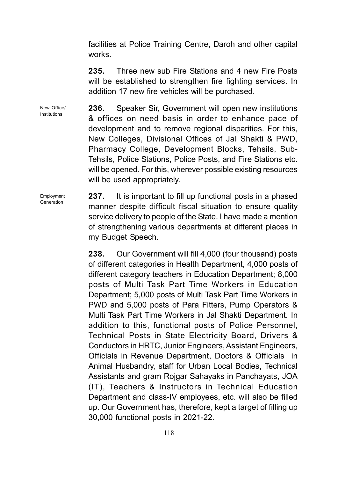facilities at Police Training Centre, Daroh and other capital works.

235. Three new sub Fire Stations and 4 new Fire Posts will be established to strengthen fire fighting services. In addition 17 new fire vehicles will be purchased.

236. Speaker Sir, Government will open new institutions & offices on need basis in order to enhance pace of development and to remove regional disparities. For this, New Colleges, Divisional Offices of Jal Shakti & PWD, Pharmacy College, Development Blocks, Tehsils, Sub-Tehsils, Police Stations, Police Posts, and Fire Stations etc. will be opened. For this, wherever possible existing resources will be used appropriately. New Office/

> 237. It is important to fill up functional posts in a phased manner despite difficult fiscal situation to ensure quality service delivery to people of the State. I have made a mention of strengthening various departments at different places in my Budget Speech.

238. Our Government will fill 4,000 (four thousand) posts of different categories in Health Department, 4,000 posts of different category teachers in Education Department; 8,000 posts of Multi Task Part Time Workers in Education Department; 5,000 posts of Multi Task Part Time Workers in PWD and 5,000 posts of Para Fitters, Pump Operators & Multi Task Part Time Workers in Jal Shakti Department. In addition to this, functional posts of Police Personnel, Technical Posts in State Electricity Board, Drivers & Conductors in HRTC, Junior Engineers, Assistant Engineers, Officials in Revenue Department, Doctors & Officials in Animal Husbandry, staff for Urban Local Bodies, Technical Assistants and gram Rojgar Sahayaks in Panchayats, JOA (IT), Teachers & Instructors in Technical Education Department and class-IV employees, etc. will also be filled up. Our Government has, therefore, kept a target of filling up 30,000 functional posts in 2021-22.

Employment Generation

Institutions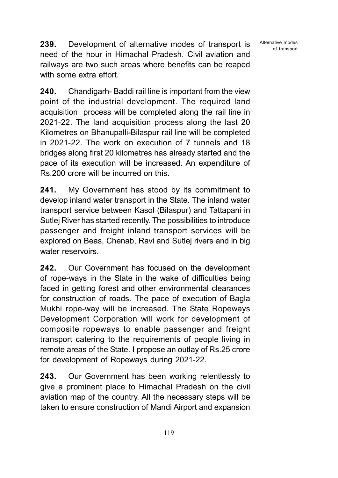Alternative modes of transport

239. Development of alternative modes of transport is need of the hour in Himachal Pradesh. Civil aviation and railways are two such areas where benefits can be reaped with some extra effort.

240. Chandigarh- Baddi rail line is important from the view point of the industrial development. The required land acquisition process will be completed along the rail line in 2021-22. The land acquisition process along the last 20 Kilometres on Bhanupalli-Bilaspur rail line will be completed in 2021-22. The work on execution of 7 tunnels and 18 bridges along first 20 kilometres has already started and the pace of its execution will be increased. An expenditure of Rs.200 crore will be incurred on this.

241. My Government has stood by its commitment to develop inland water transport in the State. The inland water transport service between Kasol (Bilaspur) and Tattapani in Sutlej River has started recently. The possibilities to introduce passenger and freight inland transport services will be explored on Beas, Chenab, Ravi and Sutlej rivers and in big water reservoirs.

242. Our Government has focused on the development of rope-ways in the State in the wake of difficulties being faced in getting forest and other environmental clearances for construction of roads. The pace of execution of Bagla Mukhi rope-way will be increased. The State Ropeways Development Corporation will work for development of composite ropeways to enable passenger and freight transport catering to the requirements of people living in remote areas of the State. I propose an outlay of Rs.25 crore for development of Ropeways during 2021-22.

243. Our Government has been working relentlessly to give a prominent place to Himachal Pradesh on the civil aviation map of the country. All the necessary steps will be taken to ensure construction of Mandi Airport and expansion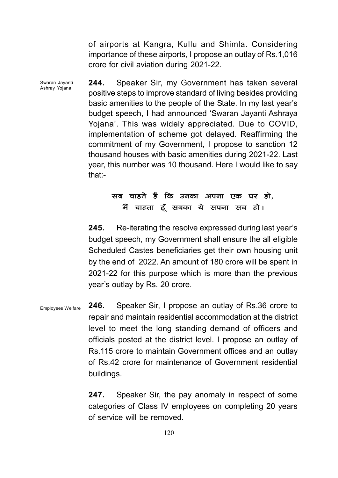of airports at Kangra, Kullu and Shimla. Considering importance of these airports, I propose an outlay of Rs.1,016 crore for civil aviation during 2021-22.

244. Speaker Sir, my Government has taken several positive steps to improve standard of living besides providing basic amenities to the people of the State. In my last year's budget speech, I had announced 'Swaran Jayanti Ashraya Yojana'. This was widely appreciated. Due to COVID, implementation of scheme got delayed. Reaffirming the commitment of my Government, I propose to sanction 12 thousand houses with basic amenities during 2021-22. Last year, this number was 10 thousand. Here I would like to say that:- Swaran Jayanti Ashray Yojana

# सब चाहते हैं कि उनका अपना एक घर हो. मैं चाहता हूँ सबका ये सपना सच हो।

245. Re-iterating the resolve expressed during last year's budget speech, my Government shall ensure the all eligible Scheduled Castes beneficiaries get their own housing unit by the end of 2022. An amount of 180 crore will be spent in 2021-22 for this purpose which is more than the previous year's outlay by Rs. 20 crore.

246. Speaker Sir, I propose an outlay of Rs.36 crore to repair and maintain residential accommodation at the district level to meet the long standing demand of officers and officials posted at the district level. I propose an outlay of Rs.115 crore to maintain Government offices and an outlay of Rs.42 crore for maintenance of Government residential buildings. Employees Welfare

> 247. Speaker Sir, the pay anomaly in respect of some categories of Class IV employees on completing 20 years of service will be removed.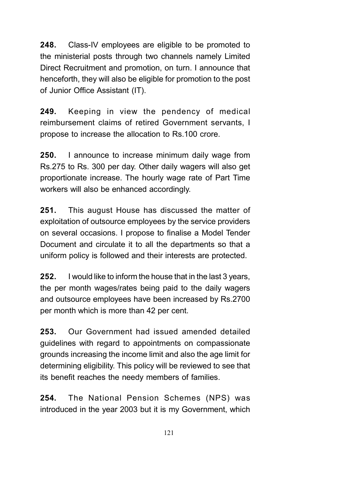248. Class-IV employees are eligible to be promoted to the ministerial posts through two channels namely Limited Direct Recruitment and promotion, on turn. I announce that henceforth, they will also be eligible for promotion to the post of Junior Office Assistant (IT).

249. Keeping in view the pendency of medical reimbursement claims of retired Government servants, I propose to increase the allocation to Rs.100 crore.

**250.** I announce to increase minimum daily wage from Rs.275 to Rs. 300 per day. Other daily wagers will also get proportionate increase. The hourly wage rate of Part Time workers will also be enhanced accordingly.

251. This august House has discussed the matter of exploitation of outsource employees by the service providers on several occasions. I propose to finalise a Model Tender Document and circulate it to all the departments so that a uniform policy is followed and their interests are protected.

252. I would like to inform the house that in the last 3 years, the per month wages/rates being paid to the daily wagers and outsource employees have been increased by Rs.2700 per month which is more than 42 per cent.

253. Our Government had issued amended detailed guidelines with regard to appointments on compassionate grounds increasing the income limit and also the age limit for determining eligibility. This policy will be reviewed to see that its benefit reaches the needy members of families.

254. The National Pension Schemes (NPS) was introduced in the year 2003 but it is my Government, which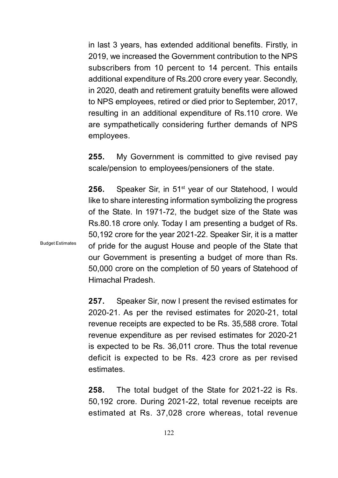in last 3 years, has extended additional benefits. Firstly, in 2019, we increased the Government contribution to the NPS subscribers from 10 percent to 14 percent. This entails additional expenditure of Rs.200 crore every year. Secondly, in 2020, death and retirement gratuity benefits were allowed to NPS employees, retired or died prior to September, 2017, resulting in an additional expenditure of Rs.110 crore. We are sympathetically considering further demands of NPS employees.

**255.** My Government is committed to give revised pay scale/pension to employees/pensioners of the state.

**256.** Speaker Sir, in 51<sup>st</sup> year of our Statehood, I would like to share interesting information symbolizing the progress of the State. In 1971-72, the budget size of the State was Rs.80.18 crore only. Today I am presenting a budget of Rs. 50,192 crore for the year 2021-22. Speaker Sir, it is a matter of pride for the august House and people of the State that our Government is presenting a budget of more than Rs. 50,000 crore on the completion of 50 years of Statehood of Himachal Pradesh.

257. Speaker Sir, now I present the revised estimates for 2020-21. As per the revised estimates for 2020-21, total revenue receipts are expected to be Rs. 35,588 crore. Total revenue expenditure as per revised estimates for 2020-21 is expected to be Rs. 36,011 crore. Thus the total revenue deficit is expected to be Rs. 423 crore as per revised estimates.

258. The total budget of the State for 2021-22 is Rs. 50,192 crore. During 2021-22, total revenue receipts are estimated at Rs. 37,028 crore whereas, total revenue

Budget Estimates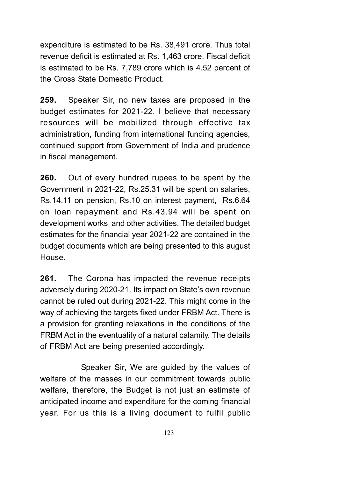expenditure is estimated to be Rs. 38,491 crore. Thus total revenue deficit is estimated at Rs. 1,463 crore. Fiscal deficit is estimated to be Rs. 7,789 crore which is 4.52 percent of the Gross State Domestic Product.

259. Speaker Sir, no new taxes are proposed in the budget estimates for 2021-22. I believe that necessary resources will be mobilized through effective tax administration, funding from international funding agencies, continued support from Government of India and prudence in fiscal management.

260. Out of every hundred rupees to be spent by the Government in 2021-22, Rs.25.31 will be spent on salaries, Rs.14.11 on pension, Rs.10 on interest payment, Rs.6.64 on loan repayment and Rs.43.94 will be spent on development works and other activities. The detailed budget estimates for the financial year 2021-22 are contained in the budget documents which are being presented to this august House.

261. The Corona has impacted the revenue receipts adversely during 2020-21. Its impact on State's own revenue cannot be ruled out during 2021-22. This might come in the way of achieving the targets fixed under FRBM Act. There is a provision for granting relaxations in the conditions of the FRBM Act in the eventuality of a natural calamity. The details of FRBM Act are being presented accordingly.

Speaker Sir, We are guided by the values of welfare of the masses in our commitment towards public welfare, therefore, the Budget is not just an estimate of anticipated income and expenditure for the coming financial year. For us this is a living document to fulfil public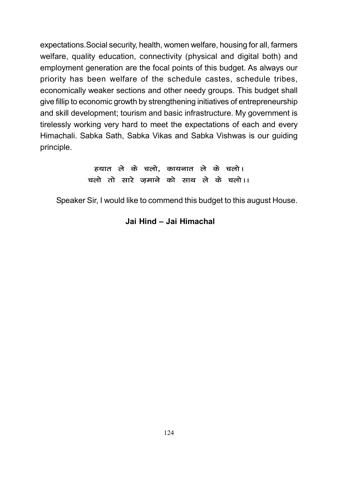expectations.Social security, health, women welfare, housing for all, farmers welfare, quality education, connectivity (physical and digital both) and employment generation are the focal points of this budget. As always our priority has been welfare of the schedule castes, schedule tribes, economically weaker sections and other needy groups. This budget shall give fillip to economic growth by strengthening initiatives of entrepreneurship and skill development; tourism and basic infrastructure. My government is tirelessly working very hard to meet the expectations of each and every Himachali. Sabka Sath, Sabka Vikas and Sabka Vishwas is our guiding principle.

```
हयात ले के चलो, कायनात ले के चलो।
चलो तो सारे जमाने को साथ ले के चलो।।
```
Speaker Sir, I would like to commend this budget to this august House.

## Jai Hind – Jai Himachal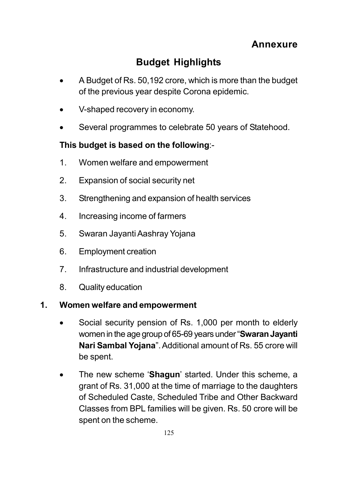# Budget Highlights

- A Budget of Rs. 50,192 crore, which is more than the budget of the previous year despite Corona epidemic.
- V-shaped recovery in economy.
- Several programmes to celebrate 50 years of Statehood.

# This budget is based on the following:-

- 1. Women welfare and empowerment
- 2. Expansion of social security net
- 3. Strengthening and expansion of health services
- 4. Increasing income of farmers
- 5. Swaran Jayanti Aashray Yojana
- 6. Employment creation
- 7. Infrastructure and industrial development
- 8. Quality education

# 1. Women welfare and empowerment

- Social security pension of Rs. 1,000 per month to elderly women in the age group of 65-69 years under "Swaran Jayanti Nari Sambal Yojana". Additional amount of Rs. 55 crore will be spent.
- The new scheme 'Shagun' started. Under this scheme, a grant of Rs. 31,000 at the time of marriage to the daughters of Scheduled Caste, Scheduled Tribe and Other Backward Classes from BPL families will be given. Rs. 50 crore will be spent on the scheme.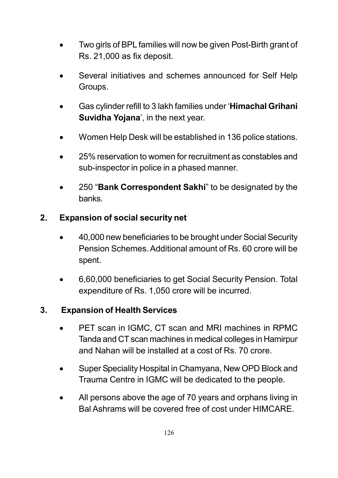- Two girls of BPL families will now be given Post-Birth grant of Rs. 21,000 as fix deposit.
- Several initiatives and schemes announced for Self Help Groups.
- Gas cylinder refill to 3 lakh families under 'Himachal Grihani Suvidha Yojana', in the next year.
- Women Help Desk will be established in 136 police stations.
- 25% reservation to women for recruitment as constables and sub-inspector in police in a phased manner.
- 250 "Bank Correspondent Sakhi" to be designated by the banks.

# 2. Expansion of social security net

- 40,000 new beneficiaries to be brought under Social Security Pension Schemes. Additional amount of Rs. 60 crore will be spent.
- 6,60,000 beneficiaries to get Social Security Pension. Total expenditure of Rs. 1,050 crore will be incurred.

# 3. Expansion of Health Services

- PET scan in IGMC, CT scan and MRI machines in RPMC Tanda and CT scan machines in medical colleges in Hamirpur and Nahan will be installed at a cost of Rs. 70 crore.
- Super Speciality Hospital in Chamyana, New OPD Block and Trauma Centre in IGMC will be dedicated to the people.
- All persons above the age of 70 years and orphans living in Bal Ashrams will be covered free of cost under HIMCARE.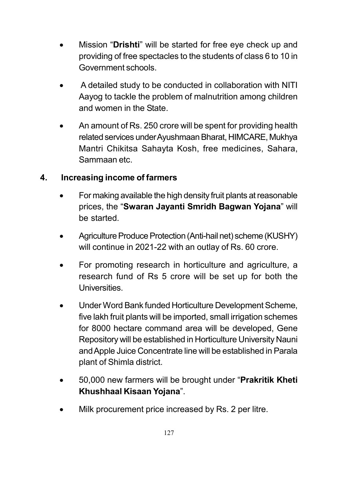- Mission "Drishti" will be started for free eye check up and providing of free spectacles to the students of class 6 to 10 in Government schools.
- A detailed study to be conducted in collaboration with NITI Aayog to tackle the problem of malnutrition among children and women in the State.
- An amount of Rs. 250 crore will be spent for providing health related services under Ayushmaan Bharat, HIMCARE, Mukhya Mantri Chikitsa Sahayta Kosh, free medicines, Sahara, Sammaan etc.

# 4. Increasing income of farmers

- For making available the high density fruit plants at reasonable prices, the "Swaran Jayanti Smridh Bagwan Yojana" will be started.
- Agriculture Produce Protection (Anti-hail net) scheme (KUSHY) will continue in 2021-22 with an outlay of Rs. 60 crore.
- For promoting research in horticulture and agriculture, a research fund of Rs 5 crore will be set up for both the Universities.
- Under Word Bank funded Horticulture Development Scheme, five lakh fruit plants will be imported, small irrigation schemes for 8000 hectare command area will be developed, Gene Repository will be established in Horticulture University Nauni and Apple Juice Concentrate line will be established in Parala plant of Shimla district.
- 50,000 new farmers will be brought under "Prakritik Kheti Khushhaal Kisaan Yojana".
- Milk procurement price increased by Rs. 2 per litre.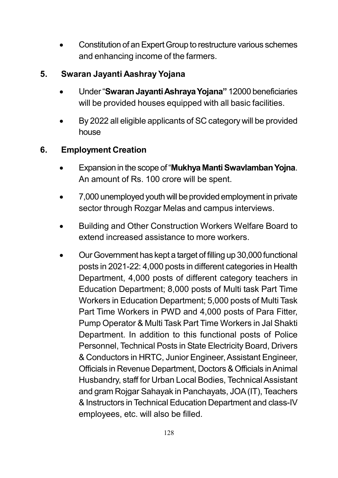Constitution of an Expert Group to restructure various schemes and enhancing income of the farmers.

# 5. Swaran Jayanti Aashray Yojana

- Under "Swaran Jayanti Ashraya Yojana" 12000 beneficiaries will be provided houses equipped with all basic facilities.
- By 2022 all eligible applicants of SC category will be provided house

# 6. Employment Creation

- Expansion in the scope of "Mukhya Manti Swavlamban Yojna. An amount of Rs. 100 crore will be spent.
- 7,000 unemployed youth will be provided employment in private sector through Rozgar Melas and campus interviews.
- Building and Other Construction Workers Welfare Board to extend increased assistance to more workers.
- Our Government has kept a target of filling up 30,000 functional posts in 2021-22: 4,000 posts in different categories in Health Department, 4,000 posts of different category teachers in Education Department; 8,000 posts of Multi task Part Time Workers in Education Department; 5,000 posts of Multi Task Part Time Workers in PWD and 4,000 posts of Para Fitter, Pump Operator & Multi Task Part Time Workers in Jal Shakti Department. In addition to this functional posts of Police Personnel, Technical Posts in State Electricity Board, Drivers & Conductors in HRTC, Junior Engineer, Assistant Engineer, Officials in Revenue Department, Doctors & Officials in Animal Husbandry, staff for Urban Local Bodies, Technical Assistant and gram Rojgar Sahayak in Panchayats, JOA (IT), Teachers & Instructors in Technical Education Department and class-IV employees, etc. will also be filled.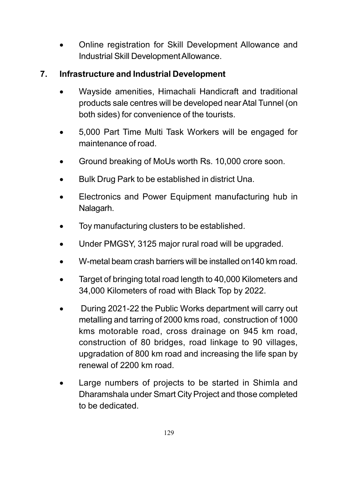Online registration for Skill Development Allowance and Industrial Skill Development Allowance.

# 7. Infrastructure and Industrial Development

- Wayside amenities, Himachali Handicraft and traditional products sale centres will be developed near Atal Tunnel (on both sides) for convenience of the tourists.
- 5,000 Part Time Multi Task Workers will be engaged for maintenance of road.
- Ground breaking of MoUs worth Rs. 10,000 crore soon.
- Bulk Drug Park to be established in district Una.
- Electronics and Power Equipment manufacturing hub in Nalagarh.
- Toy manufacturing clusters to be established.
- Under PMGSY, 3125 major rural road will be upgraded.
- W-metal beam crash barriers will be installed on140 km road.
- Target of bringing total road length to 40,000 Kilometers and 34,000 Kilometers of road with Black Top by 2022.
- During 2021-22 the Public Works department will carry out metalling and tarring of 2000 kms road, construction of 1000 kms motorable road, cross drainage on 945 km road, construction of 80 bridges, road linkage to 90 villages, upgradation of 800 km road and increasing the life span by renewal of 2200 km road.
- Large numbers of projects to be started in Shimla and Dharamshala under Smart City Project and those completed to be dedicated.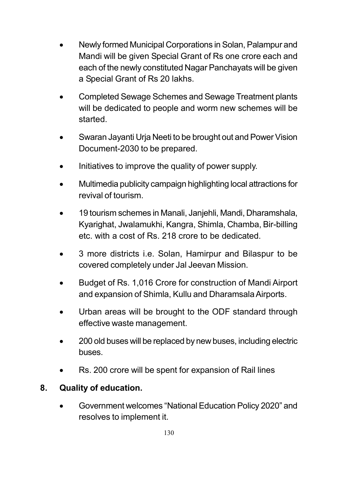- Newly formed Municipal Corporations in Solan, Palampur and Mandi will be given Special Grant of Rs one crore each and each of the newly constituted Nagar Panchayats will be given a Special Grant of Rs 20 lakhs.
- Completed Sewage Schemes and Sewage Treatment plants will be dedicated to people and worm new schemes will be started.
- Swaran Jayanti Urja Neeti to be brought out and Power Vision Document-2030 to be prepared.
- Initiatives to improve the quality of power supply.
- Multimedia publicity campaign highlighting local attractions for revival of tourism.
- 19 tourism schemes in Manali, Janjehli, Mandi, Dharamshala, Kyarighat, Jwalamukhi, Kangra, Shimla, Chamba, Bir-billing etc. with a cost of Rs. 218 crore to be dedicated.
- 3 more districts i.e. Solan, Hamirpur and Bilaspur to be covered completely under Jal Jeevan Mission.
- Budget of Rs. 1,016 Crore for construction of Mandi Airport and expansion of Shimla, Kullu and Dharamsala Airports.
- Urban areas will be brought to the ODF standard through effective waste management.
- 200 old buses will be replaced by new buses, including electric buses.
- Rs. 200 crore will be spent for expansion of Rail lines

# 8. Quality of education.

 Government welcomes "National Education Policy 2020" and resolves to implement it.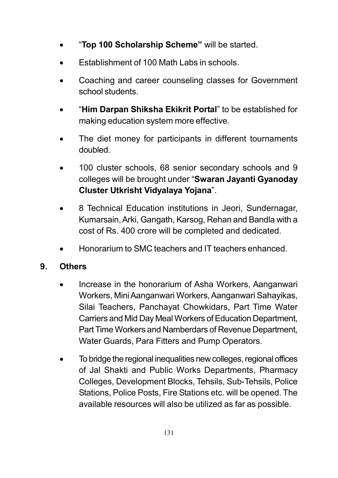- "Top 100 Scholarship Scheme" will be started.
- Establishment of 100 Math Labs in schools.
- Coaching and career counseling classes for Government school students.
- "Him Darpan Shiksha Ekikrit Portal" to be established for making education system more effective.
- The diet money for participants in different tournaments doubled.
- 100 cluster schools, 68 senior secondary schools and 9 colleges will be brought under "Swaran Jayanti Gyanoday Cluster Utkrisht Vidyalaya Yojana".
- 8 Technical Education institutions in Jeori, Sundernagar, Kumarsain, Arki, Gangath, Karsog, Rehan and Bandla with a cost of Rs. 400 crore will be completed and dedicated.
- Honorarium to SMC teachers and IT teachers enhanced.

# 9. Others

- Increase in the honorarium of Asha Workers, Aanganwari Workers, Mini Aanganwari Workers, Aanganwari Sahayikas, Silai Teachers, Panchayat Chowkidars, Part Time Water Carriers and Mid Day Meal Workers of Education Department, Part Time Workers and Namberdars of Revenue Department, Water Guards, Para Fitters and Pump Operators.
- To bridge the regional inequalities new colleges, regional offices of Jal Shakti and Public Works Departments, Pharmacy Colleges, Development Blocks, Tehsils, Sub-Tehsils, Police Stations, Police Posts, Fire Stations etc. will be opened. The available resources will also be utilized as far as possible.